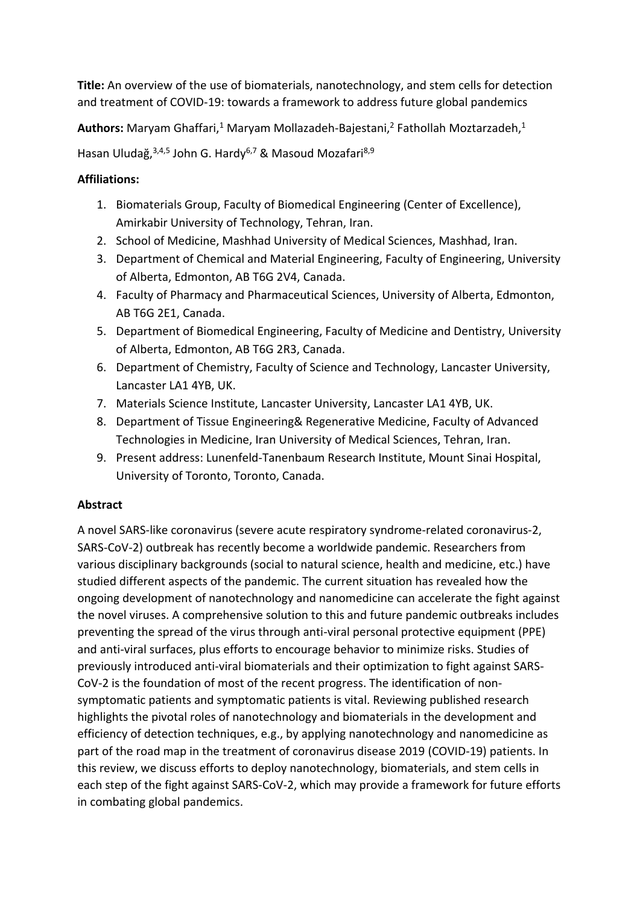**Title:** An overview of the use of biomaterials, nanotechnology, and stem cells for detection and treatment of COVID-19: towards a framework to address future global pandemics

Authors: Maryam Ghaffari,<sup>1</sup> Maryam Mollazadeh-Bajestani,<sup>2</sup> Fathollah Moztarzadeh,<sup>1</sup>

Hasan Uludağ, 3,4,5 John G. Hardy<sup>6,7</sup> & Masoud Mozafari<sup>8,9</sup>

## **Affiliations:**

- 1. Biomaterials Group, Faculty of Biomedical Engineering (Center of Excellence), Amirkabir University of Technology, Tehran, Iran.
- 2. School of Medicine, Mashhad University of Medical Sciences, Mashhad, Iran.
- 3. Department of Chemical and Material Engineering, Faculty of Engineering, University of Alberta, Edmonton, AB T6G 2V4, Canada.
- 4. Faculty of Pharmacy and Pharmaceutical Sciences, University of Alberta, Edmonton, AB T6G 2E1, Canada.
- 5. Department of Biomedical Engineering, Faculty of Medicine and Dentistry, University of Alberta, Edmonton, AB T6G 2R3, Canada.
- 6. Department of Chemistry, Faculty of Science and Technology, Lancaster University, Lancaster LA1 4YB, UK.
- 7. Materials Science Institute, Lancaster University, Lancaster LA1 4YB, UK.
- 8. Department of Tissue Engineering& Regenerative Medicine, Faculty of Advanced Technologies in Medicine, Iran University of Medical Sciences, Tehran, Iran.
- 9. Present address: Lunenfeld-Tanenbaum Research Institute, Mount Sinai Hospital, University of Toronto, Toronto, Canada.

# **Abstract**

A novel SARS-like coronavirus (severe acute respiratory syndrome-related coronavirus-2, SARS-CoV-2) outbreak has recently become a worldwide pandemic. Researchers from various disciplinary backgrounds (social to natural science, health and medicine, etc.) have studied different aspects of the pandemic. The current situation has revealed how the ongoing development of nanotechnology and nanomedicine can accelerate the fight against the novel viruses. A comprehensive solution to this and future pandemic outbreaks includes preventing the spread of the virus through anti-viral personal protective equipment (PPE) and anti-viral surfaces, plus efforts to encourage behavior to minimize risks. Studies of previously introduced anti-viral biomaterials and their optimization to fight against SARS-CoV-2 is the foundation of most of the recent progress. The identification of nonsymptomatic patients and symptomatic patients is vital. Reviewing published research highlights the pivotal roles of nanotechnology and biomaterials in the development and efficiency of detection techniques, e.g., by applying nanotechnology and nanomedicine as part of the road map in the treatment of coronavirus disease 2019 (COVID-19) patients. In this review, we discuss efforts to deploy nanotechnology, biomaterials, and stem cells in each step of the fight against SARS-CoV-2, which may provide a framework for future efforts in combating global pandemics.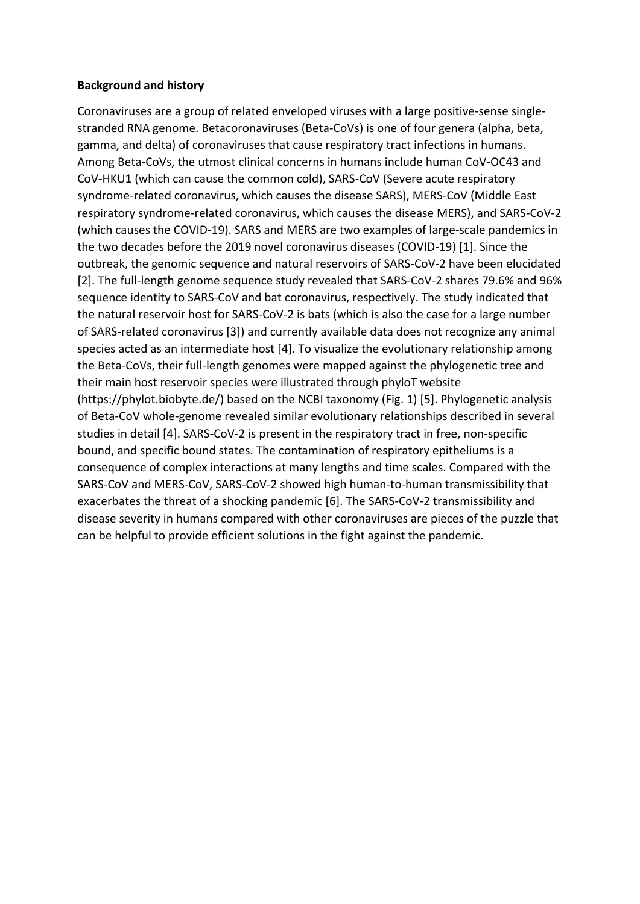#### **Background and history**

Coronaviruses are a group of related enveloped viruses with a large positive-sense singlestranded RNA genome. Betacoronaviruses (Beta-CoVs) is one of four genera (alpha, beta, gamma, and delta) of coronaviruses that cause respiratory tract infections in humans. Among Beta-CoVs, the utmost clinical concerns in humans include human CoV-OC43 and CoV-HKU1 (which can cause the common cold), SARS-CoV (Severe acute respiratory syndrome-related coronavirus, which causes the disease SARS), MERS-CoV (Middle East respiratory syndrome-related coronavirus, which causes the disease MERS), and SARS-CoV-2 (which causes the COVID-19). SARS and MERS are two examples of large-scale pandemics in the two decades before the 2019 novel coronavirus diseases (COVID-19) [1]. Since the outbreak, the genomic sequence and natural reservoirs of SARS-CoV-2 have been elucidated [2]. The full-length genome sequence study revealed that SARS-CoV-2 shares 79.6% and 96% sequence identity to SARS-CoV and bat coronavirus, respectively. The study indicated that the natural reservoir host for SARS-CoV-2 is bats (which is also the case for a large number of SARS-related coronavirus [3]) and currently available data does not recognize any animal species acted as an intermediate host [4]. To visualize the evolutionary relationship among the Beta-CoVs, their full-length genomes were mapped against the phylogenetic tree and their main host reservoir species were illustrated through phyloT website (https://phylot.biobyte.de/) based on the NCBI taxonomy (Fig. 1) [5]. Phylogenetic analysis of Beta-CoV whole-genome revealed similar evolutionary relationships described in several studies in detail [4]. SARS-CoV-2 is present in the respiratory tract in free, non-specific bound, and specific bound states. The contamination of respiratory epitheliums is a consequence of complex interactions at many lengths and time scales. Compared with the SARS-CoV and MERS-CoV, SARS-CoV-2 showed high human-to-human transmissibility that exacerbates the threat of a shocking pandemic [6]. The SARS-CoV-2 transmissibility and disease severity in humans compared with other coronaviruses are pieces of the puzzle that can be helpful to provide efficient solutions in the fight against the pandemic.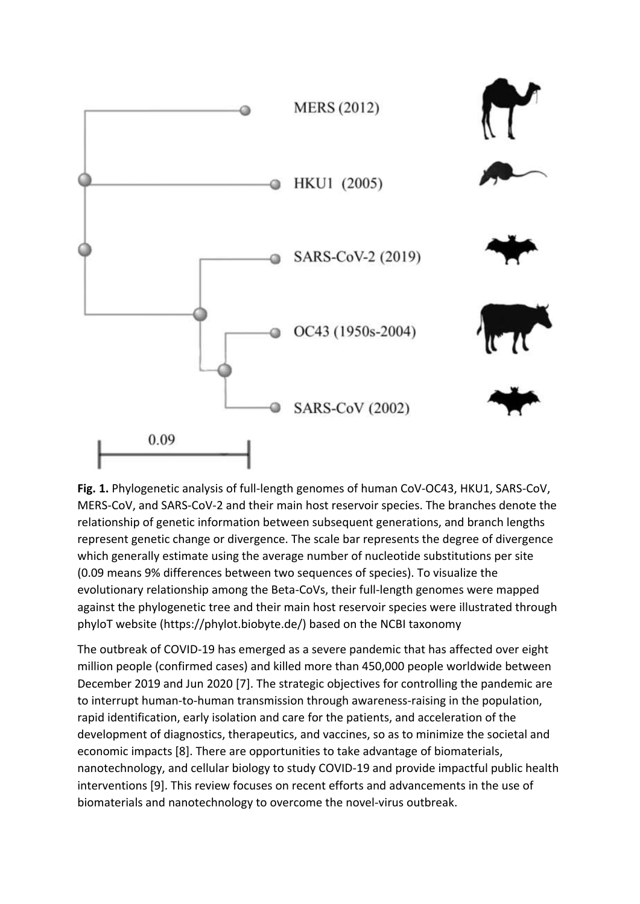

**Fig. 1.** Phylogenetic analysis of full-length genomes of human CoV-OC43, HKU1, SARS-CoV, MERS-CoV, and SARS-CoV-2 and their main host reservoir species. The branches denote the relationship of genetic information between subsequent generations, and branch lengths represent genetic change or divergence. The scale bar represents the degree of divergence which generally estimate using the average number of nucleotide substitutions per site (0.09 means 9% differences between two sequences of species). To visualize the evolutionary relationship among the Beta-CoVs, their full-length genomes were mapped against the phylogenetic tree and their main host reservoir species were illustrated through phyloT website (https://phylot.biobyte.de/) based on the NCBI taxonomy

The outbreak of COVID-19 has emerged as a severe pandemic that has affected over eight million people (confirmed cases) and killed more than 450,000 people worldwide between December 2019 and Jun 2020 [7]. The strategic objectives for controlling the pandemic are to interrupt human-to-human transmission through awareness-raising in the population, rapid identification, early isolation and care for the patients, and acceleration of the development of diagnostics, therapeutics, and vaccines, so as to minimize the societal and economic impacts [8]. There are opportunities to take advantage of biomaterials, nanotechnology, and cellular biology to study COVID-19 and provide impactful public health interventions [9]. This review focuses on recent efforts and advancements in the use of biomaterials and nanotechnology to overcome the novel-virus outbreak.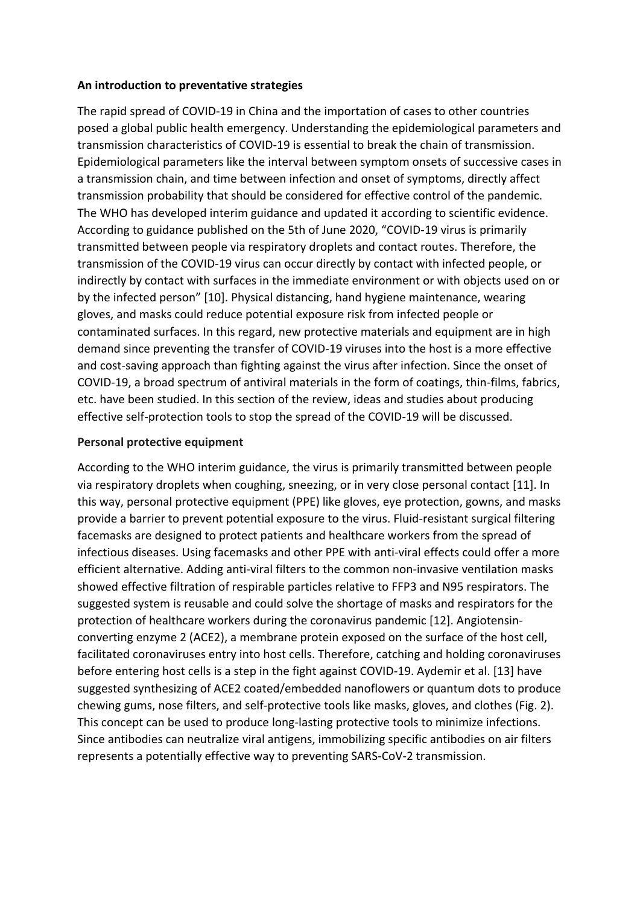#### **An introduction to preventative strategies**

The rapid spread of COVID-19 in China and the importation of cases to other countries posed a global public health emergency. Understanding the epidemiological parameters and transmission characteristics of COVID-19 is essential to break the chain of transmission. Epidemiological parameters like the interval between symptom onsets of successive cases in a transmission chain, and time between infection and onset of symptoms, directly affect transmission probability that should be considered for effective control of the pandemic. The WHO has developed interim guidance and updated it according to scientific evidence. According to guidance published on the 5th of June 2020, "COVID-19 virus is primarily transmitted between people via respiratory droplets and contact routes. Therefore, the transmission of the COVID-19 virus can occur directly by contact with infected people, or indirectly by contact with surfaces in the immediate environment or with objects used on or by the infected person" [10]. Physical distancing, hand hygiene maintenance, wearing gloves, and masks could reduce potential exposure risk from infected people or contaminated surfaces. In this regard, new protective materials and equipment are in high demand since preventing the transfer of COVID-19 viruses into the host is a more effective and cost-saving approach than fighting against the virus after infection. Since the onset of COVID-19, a broad spectrum of antiviral materials in the form of coatings, thin-films, fabrics, etc. have been studied. In this section of the review, ideas and studies about producing effective self-protection tools to stop the spread of the COVID-19 will be discussed.

### **Personal protective equipment**

According to the WHO interim guidance, the virus is primarily transmitted between people via respiratory droplets when coughing, sneezing, or in very close personal contact [11]. In this way, personal protective equipment (PPE) like gloves, eye protection, gowns, and masks provide a barrier to prevent potential exposure to the virus. Fluid-resistant surgical filtering facemasks are designed to protect patients and healthcare workers from the spread of infectious diseases. Using facemasks and other PPE with anti-viral effects could offer a more efficient alternative. Adding anti-viral filters to the common non-invasive ventilation masks showed effective filtration of respirable particles relative to FFP3 and N95 respirators. The suggested system is reusable and could solve the shortage of masks and respirators for the protection of healthcare workers during the coronavirus pandemic [12]. Angiotensinconverting enzyme 2 (ACE2), a membrane protein exposed on the surface of the host cell, facilitated coronaviruses entry into host cells. Therefore, catching and holding coronaviruses before entering host cells is a step in the fight against COVID-19. Aydemir et al. [13] have suggested synthesizing of ACE2 coated/embedded nanoflowers or quantum dots to produce chewing gums, nose filters, and self-protective tools like masks, gloves, and clothes (Fig. 2). This concept can be used to produce long-lasting protective tools to minimize infections. Since antibodies can neutralize viral antigens, immobilizing specific antibodies on air filters represents a potentially effective way to preventing SARS-CoV-2 transmission.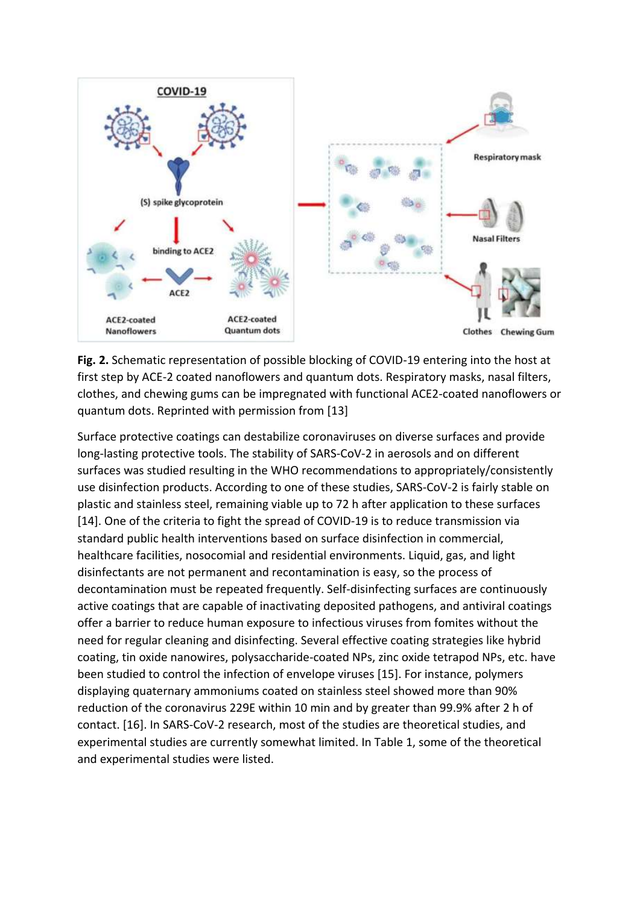

**Fig. 2.** Schematic representation of possible blocking of COVID-19 entering into the host at first step by ACE-2 coated nanoflowers and quantum dots. Respiratory masks, nasal filters, clothes, and chewing gums can be impregnated with functional ACE2-coated nanoflowers or quantum dots. Reprinted with permission from [13]

Surface protective coatings can destabilize coronaviruses on diverse surfaces and provide long-lasting protective tools. The stability of SARS-CoV-2 in aerosols and on different surfaces was studied resulting in the WHO recommendations to appropriately/consistently use disinfection products. According to one of these studies, SARS-CoV-2 is fairly stable on plastic and stainless steel, remaining viable up to 72 h after application to these surfaces [14]. One of the criteria to fight the spread of COVID-19 is to reduce transmission via standard public health interventions based on surface disinfection in commercial, healthcare facilities, nosocomial and residential environments. Liquid, gas, and light disinfectants are not permanent and recontamination is easy, so the process of decontamination must be repeated frequently. Self-disinfecting surfaces are continuously active coatings that are capable of inactivating deposited pathogens, and antiviral coatings offer a barrier to reduce human exposure to infectious viruses from fomites without the need for regular cleaning and disinfecting. Several effective coating strategies like hybrid coating, tin oxide nanowires, polysaccharide-coated NPs, zinc oxide tetrapod NPs, etc. have been studied to control the infection of envelope viruses [15]. For instance, polymers displaying quaternary ammoniums coated on stainless steel showed more than 90% reduction of the coronavirus 229E within 10 min and by greater than 99.9% after 2 h of contact. [16]. In SARS-CoV-2 research, most of the studies are theoretical studies, and experimental studies are currently somewhat limited. In Table 1, some of the theoretical and experimental studies were listed.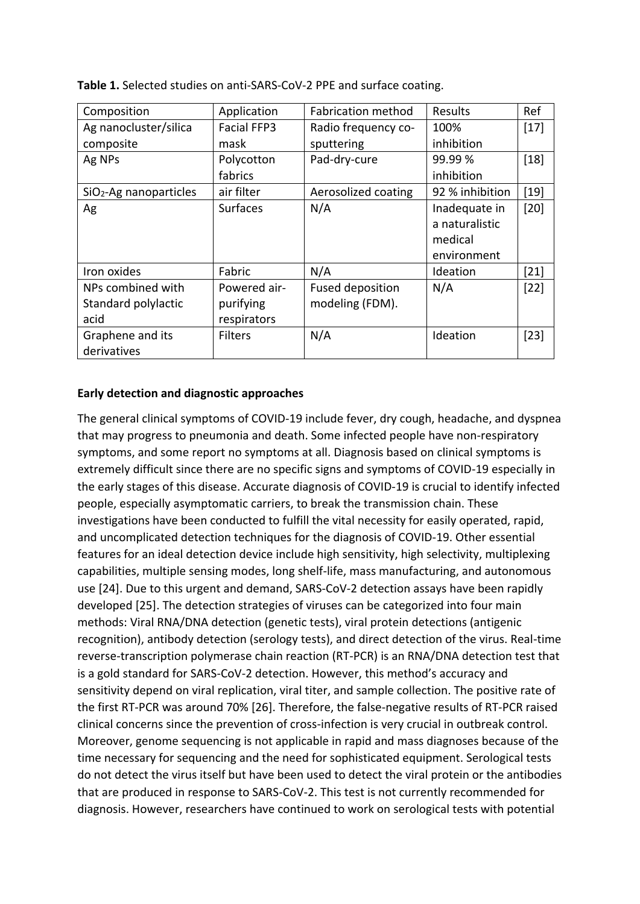| Composition              | Application        | <b>Fabrication method</b> | Results         | Ref    |
|--------------------------|--------------------|---------------------------|-----------------|--------|
| Ag nanocluster/silica    | <b>Facial FFP3</b> | Radio frequency co-       | 100%            | $[17]$ |
| composite                | mask               | sputtering                | inhibition      |        |
| Ag NPs                   | Polycotton         | Pad-dry-cure              | 99.99 %         | $[18]$ |
|                          | fabrics            |                           | inhibition      |        |
| $SiO2$ -Ag nanoparticles | air filter         | Aerosolized coating       | 92 % inhibition | $[19]$ |
| Ag                       | <b>Surfaces</b>    | N/A                       | Inadequate in   | $[20]$ |
|                          |                    |                           | a naturalistic  |        |
|                          |                    |                           | medical         |        |
|                          |                    |                           | environment     |        |
| Iron oxides              | Fabric             | N/A                       | Ideation        | $[21]$ |
| NPs combined with        | Powered air-       | <b>Fused deposition</b>   | N/A             | $[22]$ |
| Standard polylactic      | purifying          | modeling (FDM).           |                 |        |
| acid                     | respirators        |                           |                 |        |
| Graphene and its         | <b>Filters</b>     | N/A                       | Ideation        | $[23]$ |
| derivatives              |                    |                           |                 |        |

**Table 1.** Selected studies on anti-SARS-CoV-2 PPE and surface coating.

#### **Early detection and diagnostic approaches**

The general clinical symptoms of COVID-19 include fever, dry cough, headache, and dyspnea that may progress to pneumonia and death. Some infected people have non-respiratory symptoms, and some report no symptoms at all. Diagnosis based on clinical symptoms is extremely difficult since there are no specific signs and symptoms of COVID-19 especially in the early stages of this disease. Accurate diagnosis of COVID-19 is crucial to identify infected people, especially asymptomatic carriers, to break the transmission chain. These investigations have been conducted to fulfill the vital necessity for easily operated, rapid, and uncomplicated detection techniques for the diagnosis of COVID-19. Other essential features for an ideal detection device include high sensitivity, high selectivity, multiplexing capabilities, multiple sensing modes, long shelf-life, mass manufacturing, and autonomous use [24]. Due to this urgent and demand, SARS-CoV-2 detection assays have been rapidly developed [25]. The detection strategies of viruses can be categorized into four main methods: Viral RNA/DNA detection (genetic tests), viral protein detections (antigenic recognition), antibody detection (serology tests), and direct detection of the virus. Real-time reverse-transcription polymerase chain reaction (RT-PCR) is an RNA/DNA detection test that is a gold standard for SARS-CoV-2 detection. However, this method's accuracy and sensitivity depend on viral replication, viral titer, and sample collection. The positive rate of the first RT-PCR was around 70% [26]. Therefore, the false-negative results of RT-PCR raised clinical concerns since the prevention of cross-infection is very crucial in outbreak control. Moreover, genome sequencing is not applicable in rapid and mass diagnoses because of the time necessary for sequencing and the need for sophisticated equipment. Serological tests do not detect the virus itself but have been used to detect the viral protein or the antibodies that are produced in response to SARS-CoV-2. This test is not currently recommended for diagnosis. However, researchers have continued to work on serological tests with potential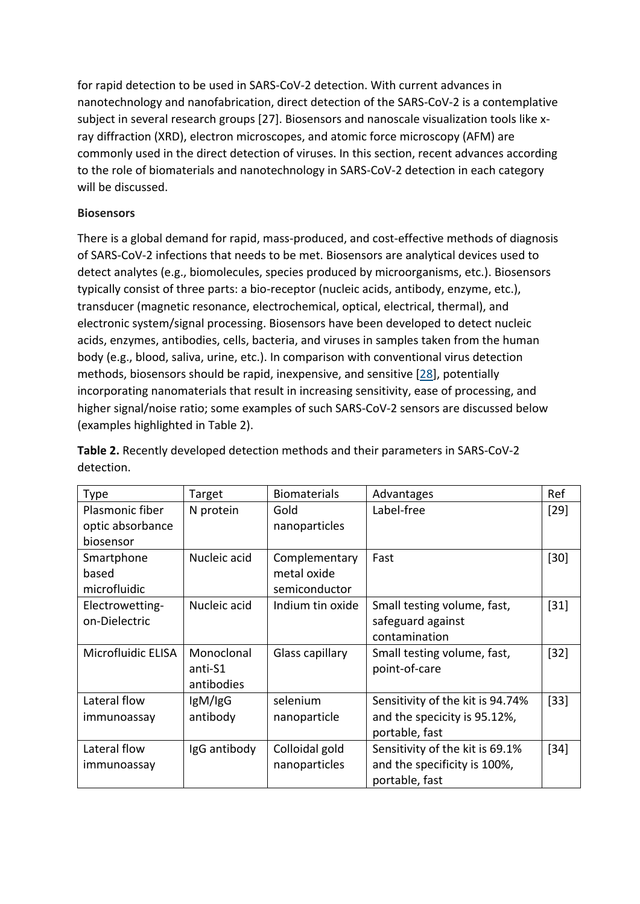for rapid detection to be used in SARS-CoV-2 detection. With current advances in nanotechnology and nanofabrication, direct detection of the SARS-CoV-2 is a contemplative subject in several research groups [27]. Biosensors and nanoscale visualization tools like xray diffraction (XRD), electron microscopes, and atomic force microscopy (AFM) are commonly used in the direct detection of viruses. In this section, recent advances according to the role of biomaterials and nanotechnology in SARS-CoV-2 detection in each category will be discussed.

## **Biosensors**

There is a global demand for rapid, mass-produced, and cost-effective methods of diagnosis of SARS-CoV-2 infections that needs to be met. Biosensors are analytical devices used to detect analytes (e.g., biomolecules, species produced by microorganisms, etc.). Biosensors typically consist of three parts: a bio-receptor (nucleic acids, antibody, enzyme, etc.), transducer (magnetic resonance, electrochemical, optical, electrical, thermal), and electronic system/signal processing. Biosensors have been developed to detect nucleic acids, enzymes, antibodies, cells, bacteria, and viruses in samples taken from the human body (e.g., blood, saliva, urine, etc.). In comparison with conventional virus detection methods, biosensors should be rapid, inexpensive, and sensitive [\[28\]](https://link.springer.com/article/10.1007/s42247-020-00143-9#ref-CR28), potentially incorporating nanomaterials that result in increasing sensitivity, ease of processing, and higher signal/noise ratio; some examples of such SARS-CoV-2 sensors are discussed below (examples highlighted in Table 2).

| Type               | Target       | <b>Biomaterials</b> | Advantages                       | Ref    |
|--------------------|--------------|---------------------|----------------------------------|--------|
| Plasmonic fiber    | N protein    | Gold                | Label-free                       | $[29]$ |
| optic absorbance   |              | nanoparticles       |                                  |        |
| biosensor          |              |                     |                                  |        |
| Smartphone         | Nucleic acid | Complementary       | Fast                             | $[30]$ |
| based              |              | metal oxide         |                                  |        |
| microfluidic       |              | semiconductor       |                                  |        |
| Electrowetting-    | Nucleic acid | Indium tin oxide    | Small testing volume, fast,      | $[31]$ |
| on-Dielectric      |              |                     | safeguard against                |        |
|                    |              |                     | contamination                    |        |
| Microfluidic ELISA | Monoclonal   | Glass capillary     | Small testing volume, fast,      | $[32]$ |
|                    | anti-S1      |                     | point-of-care                    |        |
|                    | antibodies   |                     |                                  |        |
| Lateral flow       | IgM/IgG      | selenium            | Sensitivity of the kit is 94.74% | $[33]$ |
| immunoassay        | antibody     | nanoparticle        | and the specicity is 95.12%,     |        |
|                    |              |                     | portable, fast                   |        |
| Lateral flow       | IgG antibody | Colloidal gold      | Sensitivity of the kit is 69.1%  | $[34]$ |
| immunoassay        |              | nanoparticles       | and the specificity is 100%,     |        |
|                    |              |                     | portable, fast                   |        |

**Table 2.** Recently developed detection methods and their parameters in SARS-CoV-2 detection.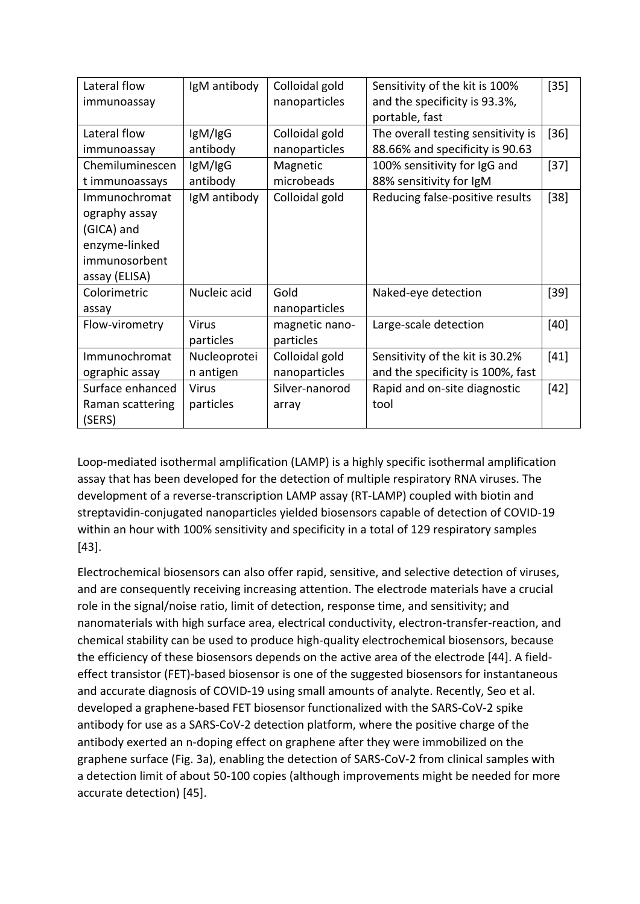| Lateral flow     | IgM antibody | Colloidal gold | Sensitivity of the kit is 100%     | $[35]$ |
|------------------|--------------|----------------|------------------------------------|--------|
| immunoassay      |              | nanoparticles  | and the specificity is 93.3%,      |        |
|                  |              |                | portable, fast                     |        |
| Lateral flow     | IgM/IgG      | Colloidal gold | The overall testing sensitivity is | $[36]$ |
| immunoassay      | antibody     | nanoparticles  | 88.66% and specificity is 90.63    |        |
| Chemiluminescen  | IgM/IgG      | Magnetic       | 100% sensitivity for IgG and       | $[37]$ |
| t immunoassays   | antibody     | microbeads     | 88% sensitivity for IgM            |        |
| Immunochromat    | IgM antibody | Colloidal gold | Reducing false-positive results    | $[38]$ |
| ography assay    |              |                |                                    |        |
| (GICA) and       |              |                |                                    |        |
| enzyme-linked    |              |                |                                    |        |
| immunosorbent    |              |                |                                    |        |
| assay (ELISA)    |              |                |                                    |        |
| Colorimetric     | Nucleic acid | Gold           | Naked-eye detection                | $[39]$ |
| assay            |              | nanoparticles  |                                    |        |
| Flow-virometry   | <b>Virus</b> | magnetic nano- | Large-scale detection              | $[40]$ |
|                  | particles    | particles      |                                    |        |
| Immunochromat    | Nucleoprotei | Colloidal gold | Sensitivity of the kit is 30.2%    | $[41]$ |
| ographic assay   | n antigen    | nanoparticles  | and the specificity is 100%, fast  |        |
| Surface enhanced | <b>Virus</b> | Silver-nanorod | Rapid and on-site diagnostic       | $[42]$ |
| Raman scattering | particles    | array          | tool                               |        |
| (SERS)           |              |                |                                    |        |

Loop-mediated isothermal amplification (LAMP) is a highly specific isothermal amplification assay that has been developed for the detection of multiple respiratory RNA viruses. The development of a reverse-transcription LAMP assay (RT-LAMP) coupled with biotin and streptavidin-conjugated nanoparticles yielded biosensors capable of detection of COVID-19 within an hour with 100% sensitivity and specificity in a total of 129 respiratory samples [43].

Electrochemical biosensors can also offer rapid, sensitive, and selective detection of viruses, and are consequently receiving increasing attention. The electrode materials have a crucial role in the signal/noise ratio, limit of detection, response time, and sensitivity; and nanomaterials with high surface area, electrical conductivity, electron-transfer-reaction, and chemical stability can be used to produce high-quality electrochemical biosensors, because the efficiency of these biosensors depends on the active area of the electrode [44]. A fieldeffect transistor (FET)-based biosensor is one of the suggested biosensors for instantaneous and accurate diagnosis of COVID-19 using small amounts of analyte. Recently, Seo et al. developed a graphene-based FET biosensor functionalized with the SARS-CoV-2 spike antibody for use as a SARS-CoV-2 detection platform, where the positive charge of the antibody exerted an n-doping effect on graphene after they were immobilized on the graphene surface (Fig. 3a), enabling the detection of SARS-CoV-2 from clinical samples with a detection limit of about 50-100 copies (although improvements might be needed for more accurate detection) [45].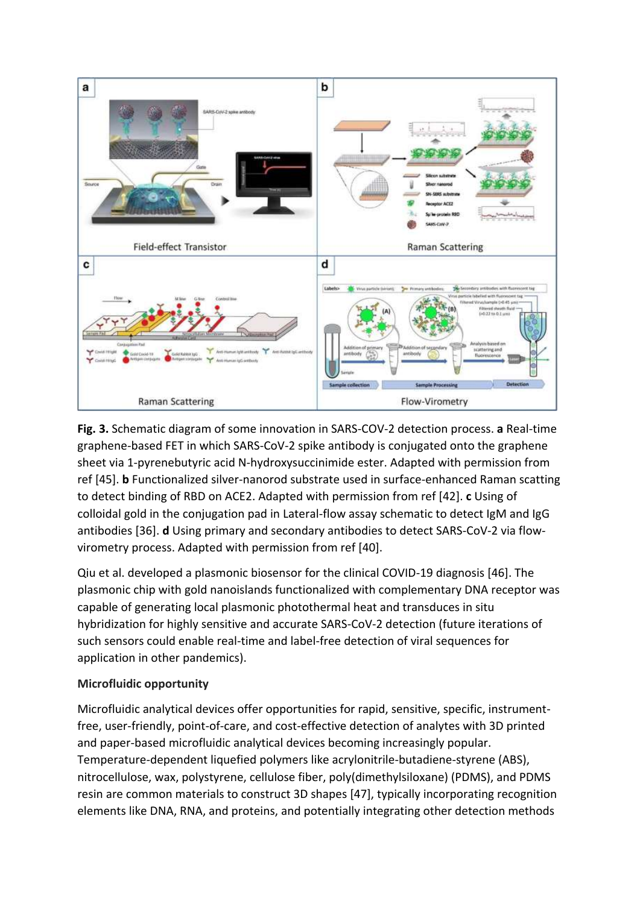

**Fig. 3.** Schematic diagram of some innovation in SARS-COV-2 detection process. **a** Real-time graphene-based FET in which SARS-CoV-2 spike antibody is conjugated onto the graphene sheet via 1-pyrenebutyric acid N-hydroxysuccinimide ester. Adapted with permission from ref [45]. **b** Functionalized silver-nanorod substrate used in surface-enhanced Raman scatting to detect binding of RBD on ACE2. Adapted with permission from ref [42]. **c** Using of colloidal gold in the conjugation pad in Lateral-flow assay schematic to detect IgM and IgG antibodies [36]. **d** Using primary and secondary antibodies to detect SARS-CoV-2 via flowvirometry process. Adapted with permission from ref [40].

Qiu et al. developed a plasmonic biosensor for the clinical COVID-19 diagnosis [46]. The plasmonic chip with gold nanoislands functionalized with complementary DNA receptor was capable of generating local plasmonic photothermal heat and transduces in situ hybridization for highly sensitive and accurate SARS-CoV-2 detection (future iterations of such sensors could enable real-time and label-free detection of viral sequences for application in other pandemics).

# **Microfluidic opportunity**

Microfluidic analytical devices offer opportunities for rapid, sensitive, specific, instrumentfree, user-friendly, point-of-care, and cost-effective detection of analytes with 3D printed and paper-based microfluidic analytical devices becoming increasingly popular. Temperature-dependent liquefied polymers like acrylonitrile-butadiene-styrene (ABS), nitrocellulose, wax, polystyrene, cellulose fiber, poly(dimethylsiloxane) (PDMS), and PDMS resin are common materials to construct 3D shapes [47], typically incorporating recognition elements like DNA, RNA, and proteins, and potentially integrating other detection methods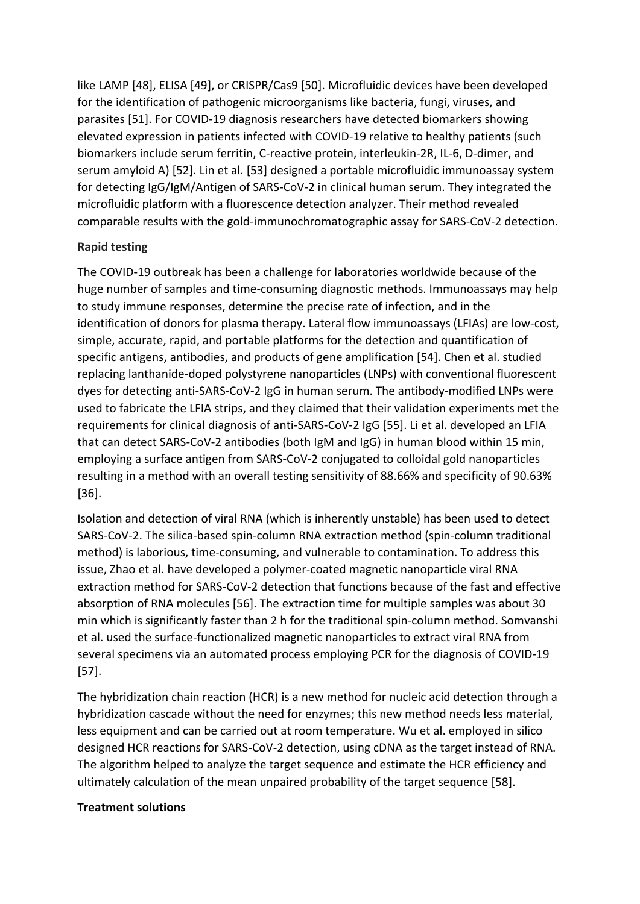like LAMP [48], ELISA [49], or CRISPR/Cas9 [50]. Microfluidic devices have been developed for the identification of pathogenic microorganisms like bacteria, fungi, viruses, and parasites [51]. For COVID-19 diagnosis researchers have detected biomarkers showing elevated expression in patients infected with COVID-19 relative to healthy patients (such biomarkers include serum ferritin, C-reactive protein, interleukin-2R, IL-6, D-dimer, and serum amyloid A) [52]. Lin et al. [53] designed a portable microfluidic immunoassay system for detecting IgG/IgM/Antigen of SARS-CoV-2 in clinical human serum. They integrated the microfluidic platform with a fluorescence detection analyzer. Their method revealed comparable results with the gold-immunochromatographic assay for SARS-CoV-2 detection.

# **Rapid testing**

The COVID-19 outbreak has been a challenge for laboratories worldwide because of the huge number of samples and time-consuming diagnostic methods. Immunoassays may help to study immune responses, determine the precise rate of infection, and in the identification of donors for plasma therapy. Lateral flow immunoassays (LFIAs) are low-cost, simple, accurate, rapid, and portable platforms for the detection and quantification of specific antigens, antibodies, and products of gene amplification [54]. Chen et al. studied replacing lanthanide-doped polystyrene nanoparticles (LNPs) with conventional fluorescent dyes for detecting anti-SARS-CoV-2 IgG in human serum. The antibody-modified LNPs were used to fabricate the LFIA strips, and they claimed that their validation experiments met the requirements for clinical diagnosis of anti-SARS-CoV-2 IgG [55]. Li et al. developed an LFIA that can detect SARS-CoV-2 antibodies (both IgM and IgG) in human blood within 15 min, employing a surface antigen from SARS-CoV-2 conjugated to colloidal gold nanoparticles resulting in a method with an overall testing sensitivity of 88.66% and specificity of 90.63% [36].

Isolation and detection of viral RNA (which is inherently unstable) has been used to detect SARS-CoV-2. The silica-based spin-column RNA extraction method (spin-column traditional method) is laborious, time-consuming, and vulnerable to contamination. To address this issue, Zhao et al. have developed a polymer-coated magnetic nanoparticle viral RNA extraction method for SARS-CoV-2 detection that functions because of the fast and effective absorption of RNA molecules [56]. The extraction time for multiple samples was about 30 min which is significantly faster than 2 h for the traditional spin-column method. Somvanshi et al. used the surface-functionalized magnetic nanoparticles to extract viral RNA from several specimens via an automated process employing PCR for the diagnosis of COVID-19 [57].

The hybridization chain reaction (HCR) is a new method for nucleic acid detection through a hybridization cascade without the need for enzymes; this new method needs less material, less equipment and can be carried out at room temperature. Wu et al. employed in silico designed HCR reactions for SARS-CoV-2 detection, using cDNA as the target instead of RNA. The algorithm helped to analyze the target sequence and estimate the HCR efficiency and ultimately calculation of the mean unpaired probability of the target sequence [58].

### **Treatment solutions**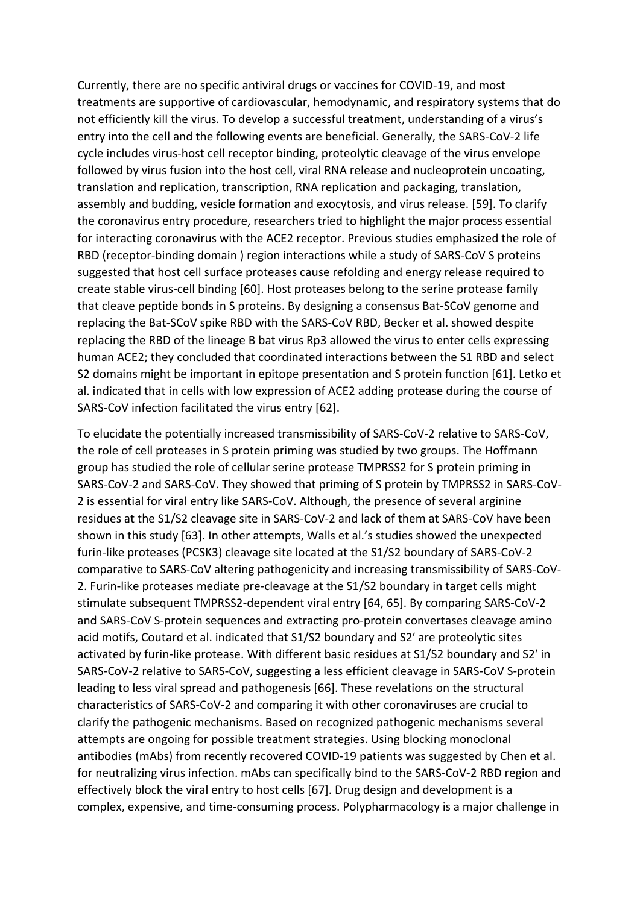Currently, there are no specific antiviral drugs or vaccines for COVID-19, and most treatments are supportive of cardiovascular, hemodynamic, and respiratory systems that do not efficiently kill the virus. To develop a successful treatment, understanding of a virus's entry into the cell and the following events are beneficial. Generally, the SARS-CoV-2 life cycle includes virus-host cell receptor binding, proteolytic cleavage of the virus envelope followed by virus fusion into the host cell, viral RNA release and nucleoprotein uncoating, translation and replication, transcription, RNA replication and packaging, translation, assembly and budding, vesicle formation and exocytosis, and virus release. [59]. To clarify the coronavirus entry procedure, researchers tried to highlight the major process essential for interacting coronavirus with the ACE2 receptor. Previous studies emphasized the role of RBD (receptor-binding domain ) region interactions while a study of SARS-CoV S proteins suggested that host cell surface proteases cause refolding and energy release required to create stable virus-cell binding [60]. Host proteases belong to the serine protease family that cleave peptide bonds in S proteins. By designing a consensus Bat-SCoV genome and replacing the Bat-SCoV spike RBD with the SARS-CoV RBD, Becker et al. showed despite replacing the RBD of the lineage B bat virus Rp3 allowed the virus to enter cells expressing human ACE2; they concluded that coordinated interactions between the S1 RBD and select S2 domains might be important in epitope presentation and S protein function [61]. Letko et al. indicated that in cells with low expression of ACE2 adding protease during the course of SARS-CoV infection facilitated the virus entry [62].

To elucidate the potentially increased transmissibility of SARS-CoV-2 relative to SARS-CoV, the role of cell proteases in S protein priming was studied by two groups. The Hoffmann group has studied the role of cellular serine protease TMPRSS2 for S protein priming in SARS-CoV-2 and SARS-CoV. They showed that priming of S protein by TMPRSS2 in SARS-CoV-2 is essential for viral entry like SARS-CoV. Although, the presence of several arginine residues at the S1/S2 cleavage site in SARS-CoV-2 and lack of them at SARS-CoV have been shown in this study [63]. In other attempts, Walls et al.'s studies showed the unexpected furin-like proteases (PCSK3) cleavage site located at the S1/S2 boundary of SARS-CoV-2 comparative to SARS-CoV altering pathogenicity and increasing transmissibility of SARS-CoV-2. Furin-like proteases mediate pre-cleavage at the S1/S2 boundary in target cells might stimulate subsequent TMPRSS2-dependent viral entry [64, 65]. By comparing SARS-CoV-2 and SARS-CoV S-protein sequences and extracting pro-protein convertases cleavage amino acid motifs, Coutard et al. indicated that S1/S2 boundary and S2′ are proteolytic sites activated by furin-like protease. With different basic residues at S1/S2 boundary and S2′ in SARS-CoV-2 relative to SARS-CoV, suggesting a less efficient cleavage in SARS-CoV S-protein leading to less viral spread and pathogenesis [66]. These revelations on the structural characteristics of SARS-CoV-2 and comparing it with other coronaviruses are crucial to clarify the pathogenic mechanisms. Based on recognized pathogenic mechanisms several attempts are ongoing for possible treatment strategies. Using blocking monoclonal antibodies (mAbs) from recently recovered COVID-19 patients was suggested by Chen et al. for neutralizing virus infection. mAbs can specifically bind to the SARS-CoV-2 RBD region and effectively block the viral entry to host cells [67]. Drug design and development is a complex, expensive, and time-consuming process. Polypharmacology is a major challenge in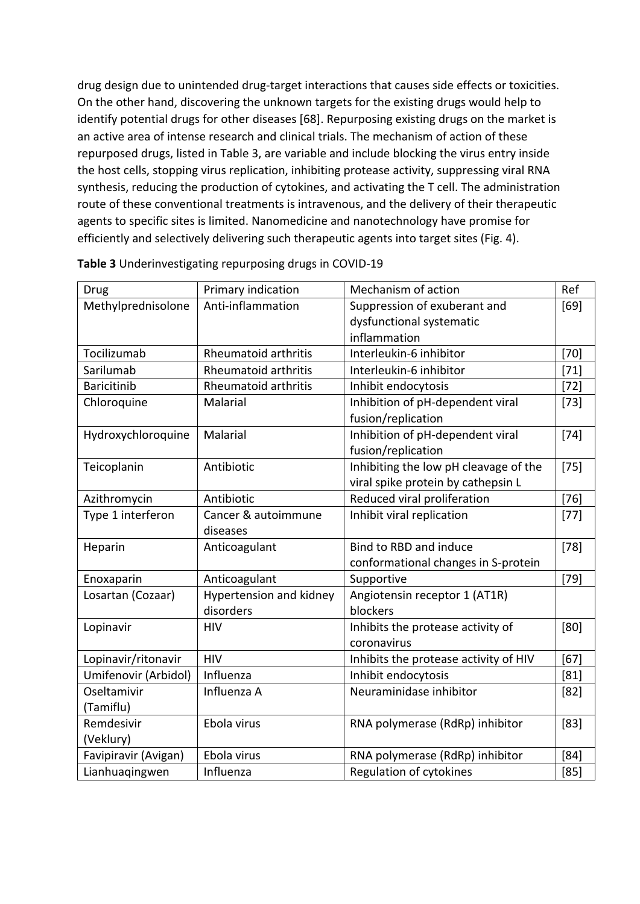drug design due to unintended drug-target interactions that causes side effects or toxicities. On the other hand, discovering the unknown targets for the existing drugs would help to identify potential drugs for other diseases [68]. Repurposing existing drugs on the market is an active area of intense research and clinical trials. The mechanism of action of these repurposed drugs, listed in Table 3, are variable and include blocking the virus entry inside the host cells, stopping virus replication, inhibiting protease activity, suppressing viral RNA synthesis, reducing the production of cytokines, and activating the T cell. The administration route of these conventional treatments is intravenous, and the delivery of their therapeutic agents to specific sites is limited. Nanomedicine and nanotechnology have promise for efficiently and selectively delivering such therapeutic agents into target sites (Fig. 4).

| Drug                 | Primary indication          | Mechanism of action                   | Ref    |
|----------------------|-----------------------------|---------------------------------------|--------|
| Methylprednisolone   | Anti-inflammation           | Suppression of exuberant and          | [69]   |
|                      |                             | dysfunctional systematic              |        |
|                      |                             | inflammation                          |        |
| Tocilizumab          | <b>Rheumatoid arthritis</b> | Interleukin-6 inhibitor               | $[70]$ |
| Sarilumab            | Rheumatoid arthritis        | Interleukin-6 inhibitor               | $[71]$ |
| <b>Baricitinib</b>   | Rheumatoid arthritis        | Inhibit endocytosis                   | $[72]$ |
| Chloroquine          | Malarial                    | Inhibition of pH-dependent viral      | $[73]$ |
|                      |                             | fusion/replication                    |        |
| Hydroxychloroquine   | Malarial                    | Inhibition of pH-dependent viral      | $[74]$ |
|                      |                             | fusion/replication                    |        |
| Teicoplanin          | Antibiotic                  | Inhibiting the low pH cleavage of the | $[75]$ |
|                      |                             | viral spike protein by cathepsin L    |        |
| Azithromycin         | Antibiotic                  | Reduced viral proliferation           | $[76]$ |
| Type 1 interferon    | Cancer & autoimmune         | Inhibit viral replication             | $[77]$ |
|                      | diseases                    |                                       |        |
| Heparin              | Anticoagulant               | Bind to RBD and induce                | $[78]$ |
|                      |                             | conformational changes in S-protein   |        |
| Enoxaparin           | Anticoagulant               | Supportive                            | $[79]$ |
| Losartan (Cozaar)    | Hypertension and kidney     | Angiotensin receptor 1 (AT1R)         |        |
|                      | disorders                   | blockers                              |        |
| Lopinavir            | <b>HIV</b>                  | Inhibits the protease activity of     | [80]   |
|                      |                             | coronavirus                           |        |
| Lopinavir/ritonavir  | <b>HIV</b>                  | Inhibits the protease activity of HIV | [67]   |
| Umifenovir (Arbidol) | Influenza                   | Inhibit endocytosis                   | [81]   |
| Oseltamivir          | Influenza A                 | Neuraminidase inhibitor               | $[82]$ |
| (Tamiflu)            |                             |                                       |        |
| Remdesivir           | Ebola virus                 | RNA polymerase (RdRp) inhibitor       | $[83]$ |
| (Veklury)            |                             |                                       |        |
| Favipiravir (Avigan) | Ebola virus                 | RNA polymerase (RdRp) inhibitor       | [84]   |
| Lianhuaqingwen       | Influenza                   | Regulation of cytokines               | [85]   |

**Table 3** Underinvestigating repurposing drugs in COVID-19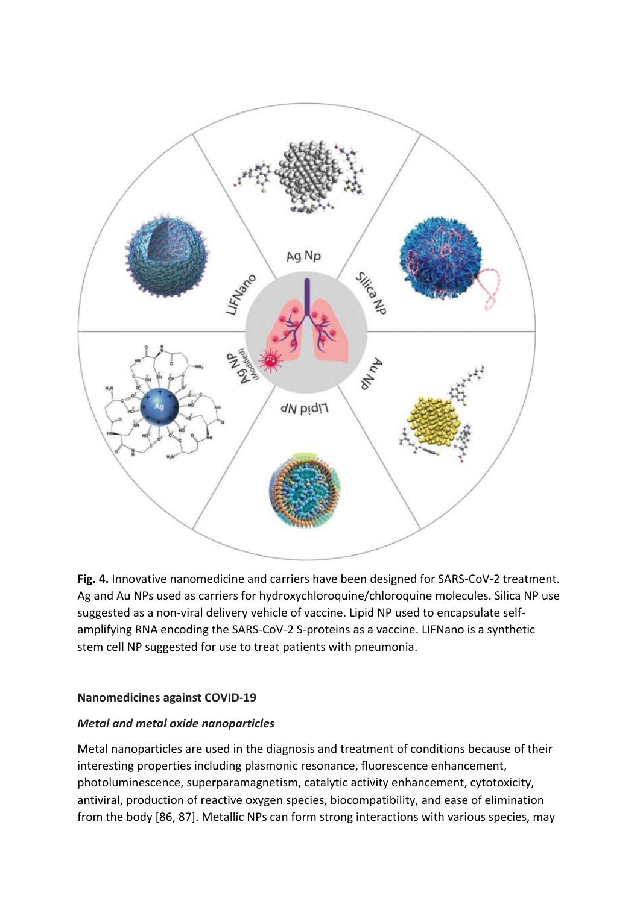

**Fig. 4.** Innovative nanomedicine and carriers have been designed for SARS-CoV-2 treatment. Ag and Au NPs used as carriers for hydroxychloroquine/chloroquine molecules. Silica NP use suggested as a non-viral delivery vehicle of vaccine. Lipid NP used to encapsulate selfamplifying RNA encoding the SARS-CoV-2 S-proteins as a vaccine. LIFNano is a synthetic stem cell NP suggested for use to treat patients with pneumonia.

#### **Nanomedicines against COVID-19**

#### *Metal and metal oxide nanoparticles*

Metal nanoparticles are used in the diagnosis and treatment of conditions because of their interesting properties including plasmonic resonance, fluorescence enhancement, photoluminescence, superparamagnetism, catalytic activity enhancement, cytotoxicity, antiviral, production of reactive oxygen species, biocompatibility, and ease of elimination from the body [86, 87]. Metallic NPs can form strong interactions with various species, may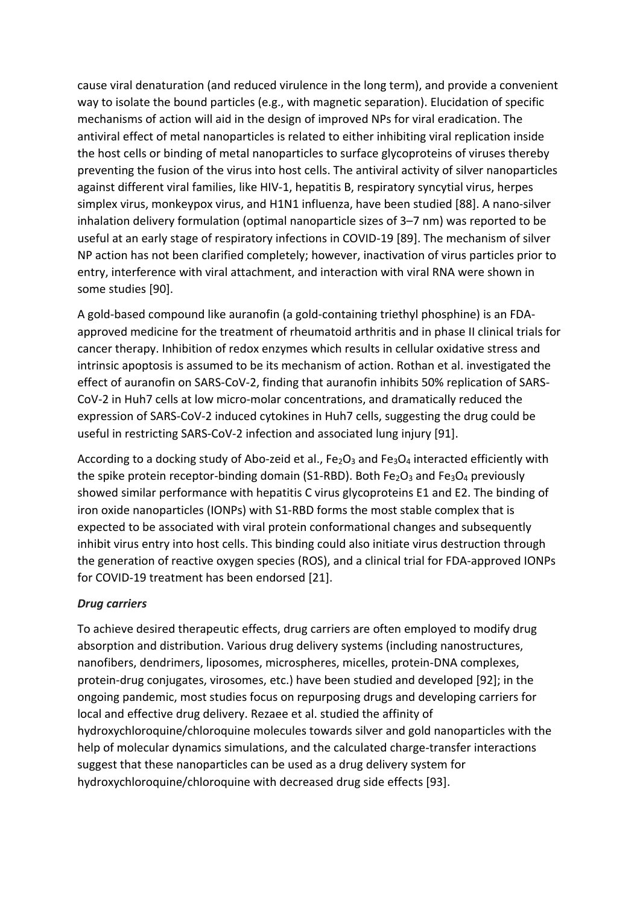cause viral denaturation (and reduced virulence in the long term), and provide a convenient way to isolate the bound particles (e.g., with magnetic separation). Elucidation of specific mechanisms of action will aid in the design of improved NPs for viral eradication. The antiviral effect of metal nanoparticles is related to either inhibiting viral replication inside the host cells or binding of metal nanoparticles to surface glycoproteins of viruses thereby preventing the fusion of the virus into host cells. The antiviral activity of silver nanoparticles against different viral families, like HIV-1, hepatitis B, respiratory syncytial virus, herpes simplex virus, monkeypox virus, and H1N1 influenza, have been studied [88]. A nano-silver inhalation delivery formulation (optimal nanoparticle sizes of 3–7 nm) was reported to be useful at an early stage of respiratory infections in COVID-19 [89]. The mechanism of silver NP action has not been clarified completely; however, inactivation of virus particles prior to entry, interference with viral attachment, and interaction with viral RNA were shown in some studies [90].

A gold-based compound like auranofin (a gold-containing triethyl phosphine) is an FDAapproved medicine for the treatment of rheumatoid arthritis and in phase II clinical trials for cancer therapy. Inhibition of redox enzymes which results in cellular oxidative stress and intrinsic apoptosis is assumed to be its mechanism of action. Rothan et al. investigated the effect of auranofin on SARS-CoV-2, finding that auranofin inhibits 50% replication of SARS-CoV-2 in Huh7 cells at low micro-molar concentrations, and dramatically reduced the expression of SARS-CoV-2 induced cytokines in Huh7 cells, suggesting the drug could be useful in restricting SARS-CoV-2 infection and associated lung injury [91].

According to a docking study of Abo-zeid et al.,  $Fe<sub>2</sub>O<sub>3</sub>$  and  $Fe<sub>3</sub>O<sub>4</sub>$  interacted efficiently with the spike protein receptor-binding domain (S1-RBD). Both Fe<sub>2</sub>O<sub>3</sub> and Fe<sub>3</sub>O<sub>4</sub> previously showed similar performance with hepatitis C virus glycoproteins E1 and E2. The binding of iron oxide nanoparticles (IONPs) with S1-RBD forms the most stable complex that is expected to be associated with viral protein conformational changes and subsequently inhibit virus entry into host cells. This binding could also initiate virus destruction through the generation of reactive oxygen species (ROS), and a clinical trial for FDA-approved IONPs for COVID-19 treatment has been endorsed [21].

### *Drug carriers*

To achieve desired therapeutic effects, drug carriers are often employed to modify drug absorption and distribution. Various drug delivery systems (including nanostructures, nanofibers, dendrimers, liposomes, microspheres, micelles, protein-DNA complexes, protein-drug conjugates, virosomes, etc.) have been studied and developed [92]; in the ongoing pandemic, most studies focus on repurposing drugs and developing carriers for local and effective drug delivery. Rezaee et al. studied the affinity of hydroxychloroquine/chloroquine molecules towards silver and gold nanoparticles with the help of molecular dynamics simulations, and the calculated charge-transfer interactions suggest that these nanoparticles can be used as a drug delivery system for hydroxychloroquine/chloroquine with decreased drug side effects [93].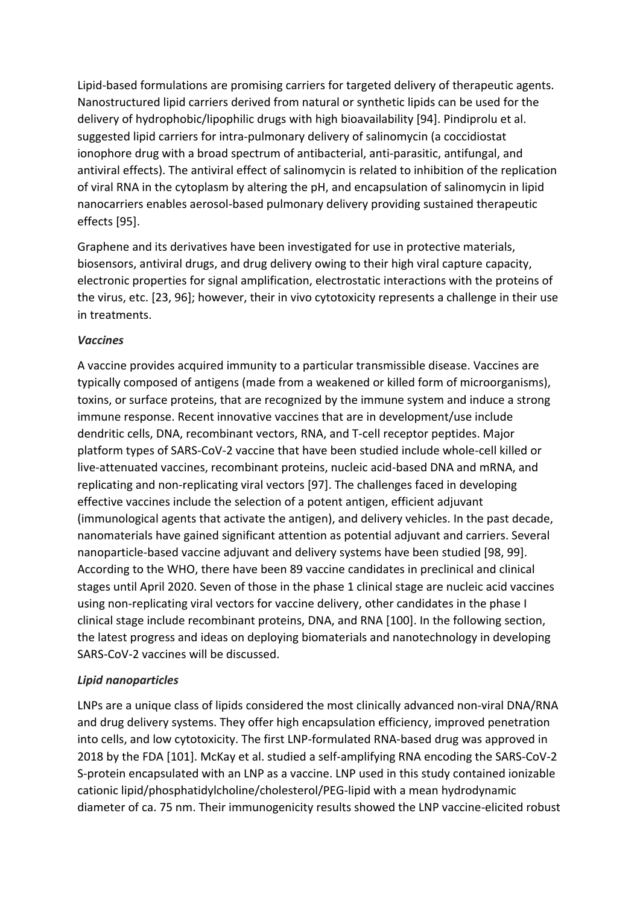Lipid-based formulations are promising carriers for targeted delivery of therapeutic agents. Nanostructured lipid carriers derived from natural or synthetic lipids can be used for the delivery of hydrophobic/lipophilic drugs with high bioavailability [94]. Pindiprolu et al. suggested lipid carriers for intra-pulmonary delivery of salinomycin (a coccidiostat ionophore drug with a broad spectrum of antibacterial, anti-parasitic, antifungal, and antiviral effects). The antiviral effect of salinomycin is related to inhibition of the replication of viral RNA in the cytoplasm by altering the pH, and encapsulation of salinomycin in lipid nanocarriers enables aerosol-based pulmonary delivery providing sustained therapeutic effects [95].

Graphene and its derivatives have been investigated for use in protective materials, biosensors, antiviral drugs, and drug delivery owing to their high viral capture capacity, electronic properties for signal amplification, electrostatic interactions with the proteins of the virus, etc. [23, 96]; however, their in vivo cytotoxicity represents a challenge in their use in treatments.

### *Vaccines*

A vaccine provides acquired immunity to a particular transmissible disease. Vaccines are typically composed of antigens (made from a weakened or killed form of microorganisms), toxins, or surface proteins, that are recognized by the immune system and induce a strong immune response. Recent innovative vaccines that are in development/use include dendritic cells, DNA, recombinant vectors, RNA, and T-cell receptor peptides. Major platform types of SARS-CoV-2 vaccine that have been studied include whole-cell killed or live-attenuated vaccines, recombinant proteins, nucleic acid-based DNA and mRNA, and replicating and non-replicating viral vectors [97]. The challenges faced in developing effective vaccines include the selection of a potent antigen, efficient adjuvant (immunological agents that activate the antigen), and delivery vehicles. In the past decade, nanomaterials have gained significant attention as potential adjuvant and carriers. Several nanoparticle-based vaccine adjuvant and delivery systems have been studied [98, 99]. According to the WHO, there have been 89 vaccine candidates in preclinical and clinical stages until April 2020. Seven of those in the phase 1 clinical stage are nucleic acid vaccines using non-replicating viral vectors for vaccine delivery, other candidates in the phase I clinical stage include recombinant proteins, DNA, and RNA [100]. In the following section, the latest progress and ideas on deploying biomaterials and nanotechnology in developing SARS-CoV-2 vaccines will be discussed.

# *Lipid nanoparticles*

LNPs are a unique class of lipids considered the most clinically advanced non-viral DNA/RNA and drug delivery systems. They offer high encapsulation efficiency, improved penetration into cells, and low cytotoxicity. The first LNP-formulated RNA-based drug was approved in 2018 by the FDA [101]. McKay et al. studied a self-amplifying RNA encoding the SARS-CoV-2 S-protein encapsulated with an LNP as a vaccine. LNP used in this study contained ionizable cationic lipid/phosphatidylcholine/cholesterol/PEG-lipid with a mean hydrodynamic diameter of ca. 75 nm. Their immunogenicity results showed the LNP vaccine-elicited robust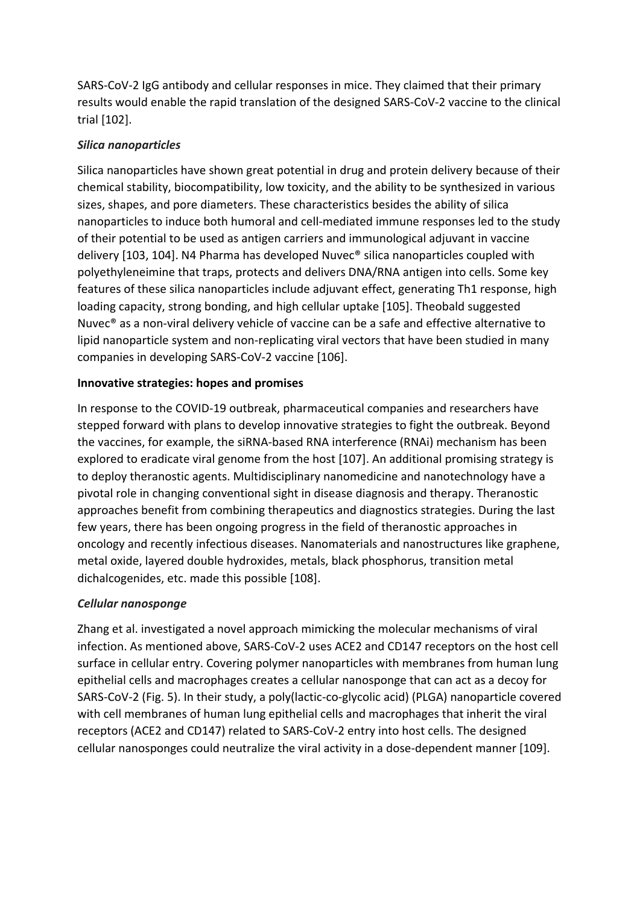SARS-CoV-2 IgG antibody and cellular responses in mice. They claimed that their primary results would enable the rapid translation of the designed SARS-CoV-2 vaccine to the clinical trial [102].

## *Silica nanoparticles*

Silica nanoparticles have shown great potential in drug and protein delivery because of their chemical stability, biocompatibility, low toxicity, and the ability to be synthesized in various sizes, shapes, and pore diameters. These characteristics besides the ability of silica nanoparticles to induce both humoral and cell-mediated immune responses led to the study of their potential to be used as antigen carriers and immunological adjuvant in vaccine delivery [103, 104]. N4 Pharma has developed Nuvec® silica nanoparticles coupled with polyethyleneimine that traps, protects and delivers DNA/RNA antigen into cells. Some key features of these silica nanoparticles include adjuvant effect, generating Th1 response, high loading capacity, strong bonding, and high cellular uptake [105]. Theobald suggested Nuvec® as a non-viral delivery vehicle of vaccine can be a safe and effective alternative to lipid nanoparticle system and non-replicating viral vectors that have been studied in many companies in developing SARS-CoV-2 vaccine [106].

# **Innovative strategies: hopes and promises**

In response to the COVID-19 outbreak, pharmaceutical companies and researchers have stepped forward with plans to develop innovative strategies to fight the outbreak. Beyond the vaccines, for example, the siRNA-based RNA interference (RNAi) mechanism has been explored to eradicate viral genome from the host [107]. An additional promising strategy is to deploy theranostic agents. Multidisciplinary nanomedicine and nanotechnology have a pivotal role in changing conventional sight in disease diagnosis and therapy. Theranostic approaches benefit from combining therapeutics and diagnostics strategies. During the last few years, there has been ongoing progress in the field of theranostic approaches in oncology and recently infectious diseases. Nanomaterials and nanostructures like graphene, metal oxide, layered double hydroxides, metals, black phosphorus, transition metal dichalcogenides, etc. made this possible [108].

# *Cellular nanosponge*

Zhang et al. investigated a novel approach mimicking the molecular mechanisms of viral infection. As mentioned above, SARS-CoV-2 uses ACE2 and CD147 receptors on the host cell surface in cellular entry. Covering polymer nanoparticles with membranes from human lung epithelial cells and macrophages creates a cellular nanosponge that can act as a decoy for SARS-CoV-2 (Fig. 5). In their study, a poly(lactic-co-glycolic acid) (PLGA) nanoparticle covered with cell membranes of human lung epithelial cells and macrophages that inherit the viral receptors (ACE2 and CD147) related to SARS-CoV-2 entry into host cells. The designed cellular nanosponges could neutralize the viral activity in a dose-dependent manner [109].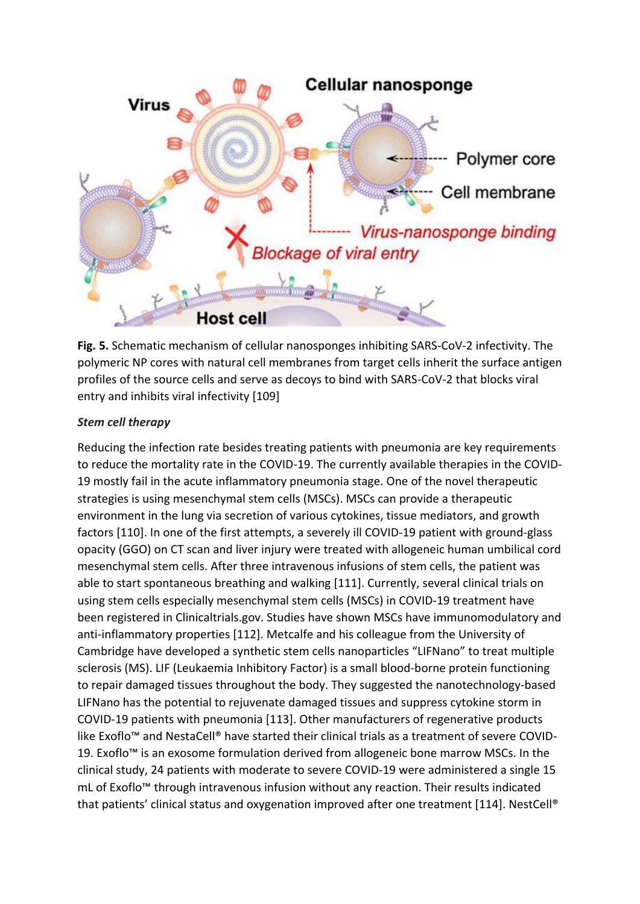

**Fig. 5.** Schematic mechanism of cellular nanosponges inhibiting SARS-CoV-2 infectivity. The polymeric NP cores with natural cell membranes from target cells inherit the surface antigen profiles of the source cells and serve as decoys to bind with SARS-CoV-2 that blocks viral entry and inhibits viral infectivity [109]

# *Stem cell therapy*

Reducing the infection rate besides treating patients with pneumonia are key requirements to reduce the mortality rate in the COVID-19. The currently available therapies in the COVID-19 mostly fail in the acute inflammatory pneumonia stage. One of the novel therapeutic strategies is using mesenchymal stem cells (MSCs). MSCs can provide a therapeutic environment in the lung via secretion of various cytokines, tissue mediators, and growth factors [110]. In one of the first attempts, a severely ill COVID-19 patient with ground-glass opacity (GGO) on CT scan and liver injury were treated with allogeneic human umbilical cord mesenchymal stem cells. After three intravenous infusions of stem cells, the patient was able to start spontaneous breathing and walking [111]. Currently, several clinical trials on using stem cells especially mesenchymal stem cells (MSCs) in COVID-19 treatment have been registered in Clinicaltrials.gov. Studies have shown MSCs have immunomodulatory and anti-inflammatory properties [112]. Metcalfe and his colleague from the University of Cambridge have developed a synthetic stem cells nanoparticles "LIFNano" to treat multiple sclerosis (MS). LIF (Leukaemia Inhibitory Factor) is a small blood-borne protein functioning to repair damaged tissues throughout the body. They suggested the nanotechnology-based LIFNano has the potential to rejuvenate damaged tissues and suppress cytokine storm in COVID-19 patients with pneumonia [113]. Other manufacturers of regenerative products like Exoflo™ and NestaCell® have started their clinical trials as a treatment of severe COVID-19. Exoflo™ is an exosome formulation derived from allogeneic bone marrow MSCs. In the clinical study, 24 patients with moderate to severe COVID-19 were administered a single 15 mL of Exoflo™ through intravenous infusion without any reaction. Their results indicated that patients' clinical status and oxygenation improved after one treatment [114]. NestCell®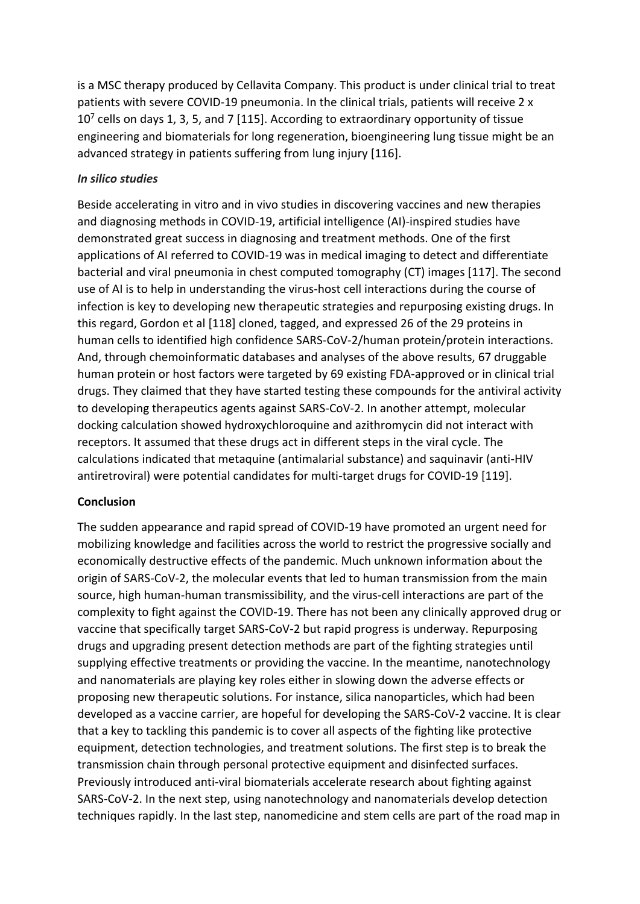is a MSC therapy produced by Cellavita Company. This product is under clinical trial to treat patients with severe COVID-19 pneumonia. In the clinical trials, patients will receive 2 x  $10<sup>7</sup>$  cells on days 1, 3, 5, and 7 [115]. According to extraordinary opportunity of tissue engineering and biomaterials for long regeneration, bioengineering lung tissue might be an advanced strategy in patients suffering from lung injury [116].

#### *In silico studies*

Beside accelerating in vitro and in vivo studies in discovering vaccines and new therapies and diagnosing methods in COVID-19, artificial intelligence (AI)-inspired studies have demonstrated great success in diagnosing and treatment methods. One of the first applications of AI referred to COVID-19 was in medical imaging to detect and differentiate bacterial and viral pneumonia in chest computed tomography (CT) images [117]. The second use of AI is to help in understanding the virus-host cell interactions during the course of infection is key to developing new therapeutic strategies and repurposing existing drugs. In this regard, Gordon et al [118] cloned, tagged, and expressed 26 of the 29 proteins in human cells to identified high confidence SARS-CoV-2/human protein/protein interactions. And, through chemoinformatic databases and analyses of the above results, 67 druggable human protein or host factors were targeted by 69 existing FDA-approved or in clinical trial drugs. They claimed that they have started testing these compounds for the antiviral activity to developing therapeutics agents against SARS-CoV-2. In another attempt, molecular docking calculation showed hydroxychloroquine and azithromycin did not interact with receptors. It assumed that these drugs act in different steps in the viral cycle. The calculations indicated that metaquine (antimalarial substance) and saquinavir (anti-HIV antiretroviral) were potential candidates for multi-target drugs for COVID-19 [119].

#### **Conclusion**

The sudden appearance and rapid spread of COVID-19 have promoted an urgent need for mobilizing knowledge and facilities across the world to restrict the progressive socially and economically destructive effects of the pandemic. Much unknown information about the origin of SARS-CoV-2, the molecular events that led to human transmission from the main source, high human-human transmissibility, and the virus-cell interactions are part of the complexity to fight against the COVID-19. There has not been any clinically approved drug or vaccine that specifically target SARS-CoV-2 but rapid progress is underway. Repurposing drugs and upgrading present detection methods are part of the fighting strategies until supplying effective treatments or providing the vaccine. In the meantime, nanotechnology and nanomaterials are playing key roles either in slowing down the adverse effects or proposing new therapeutic solutions. For instance, silica nanoparticles, which had been developed as a vaccine carrier, are hopeful for developing the SARS-CoV-2 vaccine. It is clear that a key to tackling this pandemic is to cover all aspects of the fighting like protective equipment, detection technologies, and treatment solutions. The first step is to break the transmission chain through personal protective equipment and disinfected surfaces. Previously introduced anti-viral biomaterials accelerate research about fighting against SARS-CoV-2. In the next step, using nanotechnology and nanomaterials develop detection techniques rapidly. In the last step, nanomedicine and stem cells are part of the road map in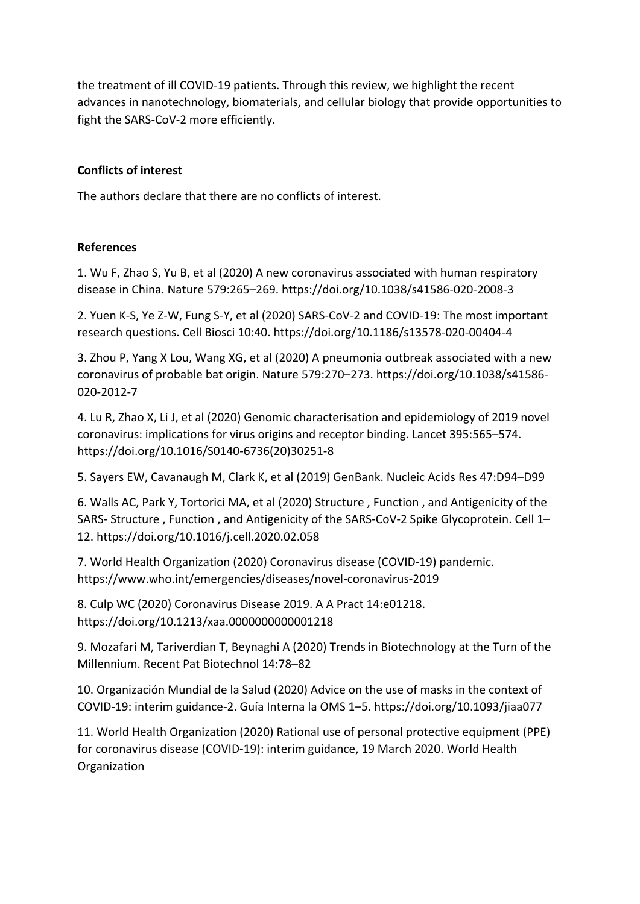the treatment of ill COVID-19 patients. Through this review, we highlight the recent advances in nanotechnology, biomaterials, and cellular biology that provide opportunities to fight the SARS-CoV-2 more efficiently.

# **Conflicts of interest**

The authors declare that there are no conflicts of interest.

### **References**

1. Wu F, Zhao S, Yu B, et al (2020) A new coronavirus associated with human respiratory disease in China. Nature 579:265–269. https://doi.org/10.1038/s41586-020-2008-3

2. Yuen K-S, Ye Z-W, Fung S-Y, et al (2020) SARS-CoV-2 and COVID-19: The most important research questions. Cell Biosci 10:40. https://doi.org/10.1186/s13578-020-00404-4

3. Zhou P, Yang X Lou, Wang XG, et al (2020) A pneumonia outbreak associated with a new coronavirus of probable bat origin. Nature 579:270–273. https://doi.org/10.1038/s41586- 020-2012-7

4. Lu R, Zhao X, Li J, et al (2020) Genomic characterisation and epidemiology of 2019 novel coronavirus: implications for virus origins and receptor binding. Lancet 395:565–574. https://doi.org/10.1016/S0140-6736(20)30251-8

5. Sayers EW, Cavanaugh M, Clark K, et al (2019) GenBank. Nucleic Acids Res 47:D94–D99

6. Walls AC, Park Y, Tortorici MA, et al (2020) Structure , Function , and Antigenicity of the SARS- Structure , Function , and Antigenicity of the SARS-CoV-2 Spike Glycoprotein. Cell 1– 12. https://doi.org/10.1016/j.cell.2020.02.058

7. World Health Organization (2020) Coronavirus disease (COVID-19) pandemic. https://www.who.int/emergencies/diseases/novel-coronavirus-2019

8. Culp WC (2020) Coronavirus Disease 2019. A A Pract 14:e01218. https://doi.org/10.1213/xaa.0000000000001218

9. Mozafari M, Tariverdian T, Beynaghi A (2020) Trends in Biotechnology at the Turn of the Millennium. Recent Pat Biotechnol 14:78–82

10. Organización Mundial de la Salud (2020) Advice on the use of masks in the context of COVID-19: interim guidance-2. Guía Interna la OMS 1–5. https://doi.org/10.1093/jiaa077

11. World Health Organization (2020) Rational use of personal protective equipment (PPE) for coronavirus disease (COVID-19): interim guidance, 19 March 2020. World Health Organization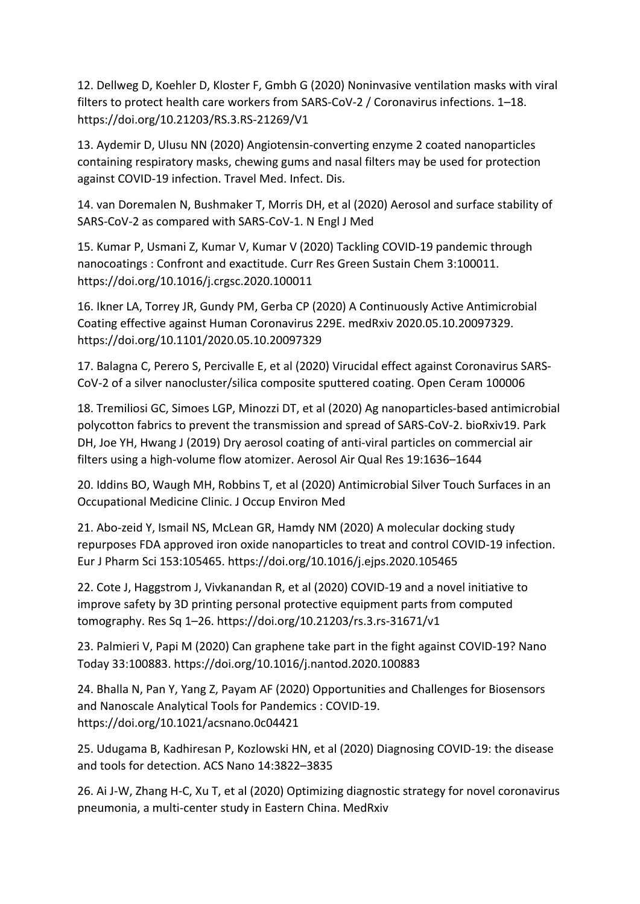12. Dellweg D, Koehler D, Kloster F, Gmbh G (2020) Noninvasive ventilation masks with viral filters to protect health care workers from SARS-CoV-2 / Coronavirus infections. 1–18. https://doi.org/10.21203/RS.3.RS-21269/V1

13. Aydemir D, Ulusu NN (2020) Angiotensin-converting enzyme 2 coated nanoparticles containing respiratory masks, chewing gums and nasal filters may be used for protection against COVID-19 infection. Travel Med. Infect. Dis.

14. van Doremalen N, Bushmaker T, Morris DH, et al (2020) Aerosol and surface stability of SARS-CoV-2 as compared with SARS-CoV-1. N Engl J Med

15. Kumar P, Usmani Z, Kumar V, Kumar V (2020) Tackling COVID-19 pandemic through nanocoatings : Confront and exactitude. Curr Res Green Sustain Chem 3:100011. https://doi.org/10.1016/j.crgsc.2020.100011

16. Ikner LA, Torrey JR, Gundy PM, Gerba CP (2020) A Continuously Active Antimicrobial Coating effective against Human Coronavirus 229E. medRxiv 2020.05.10.20097329. https://doi.org/10.1101/2020.05.10.20097329

17. Balagna C, Perero S, Percivalle E, et al (2020) Virucidal effect against Coronavirus SARS-CoV-2 of a silver nanocluster/silica composite sputtered coating. Open Ceram 100006

18. Tremiliosi GC, Simoes LGP, Minozzi DT, et al (2020) Ag nanoparticles-based antimicrobial polycotton fabrics to prevent the transmission and spread of SARS-CoV-2. bioRxiv19. Park DH, Joe YH, Hwang J (2019) Dry aerosol coating of anti-viral particles on commercial air filters using a high-volume flow atomizer. Aerosol Air Qual Res 19:1636–1644

20. Iddins BO, Waugh MH, Robbins T, et al (2020) Antimicrobial Silver Touch Surfaces in an Occupational Medicine Clinic. J Occup Environ Med

21. Abo-zeid Y, Ismail NS, McLean GR, Hamdy NM (2020) A molecular docking study repurposes FDA approved iron oxide nanoparticles to treat and control COVID-19 infection. Eur J Pharm Sci 153:105465. https://doi.org/10.1016/j.ejps.2020.105465

22. Cote J, Haggstrom J, Vivkanandan R, et al (2020) COVID-19 and a novel initiative to improve safety by 3D printing personal protective equipment parts from computed tomography. Res Sq 1–26. https://doi.org/10.21203/rs.3.rs-31671/v1

23. Palmieri V, Papi M (2020) Can graphene take part in the fight against COVID-19? Nano Today 33:100883. https://doi.org/10.1016/j.nantod.2020.100883

24. Bhalla N, Pan Y, Yang Z, Payam AF (2020) Opportunities and Challenges for Biosensors and Nanoscale Analytical Tools for Pandemics : COVID-19. https://doi.org/10.1021/acsnano.0c04421

25. Udugama B, Kadhiresan P, Kozlowski HN, et al (2020) Diagnosing COVID-19: the disease and tools for detection. ACS Nano 14:3822–3835

26. Ai J-W, Zhang H-C, Xu T, et al (2020) Optimizing diagnostic strategy for novel coronavirus pneumonia, a multi-center study in Eastern China. MedRxiv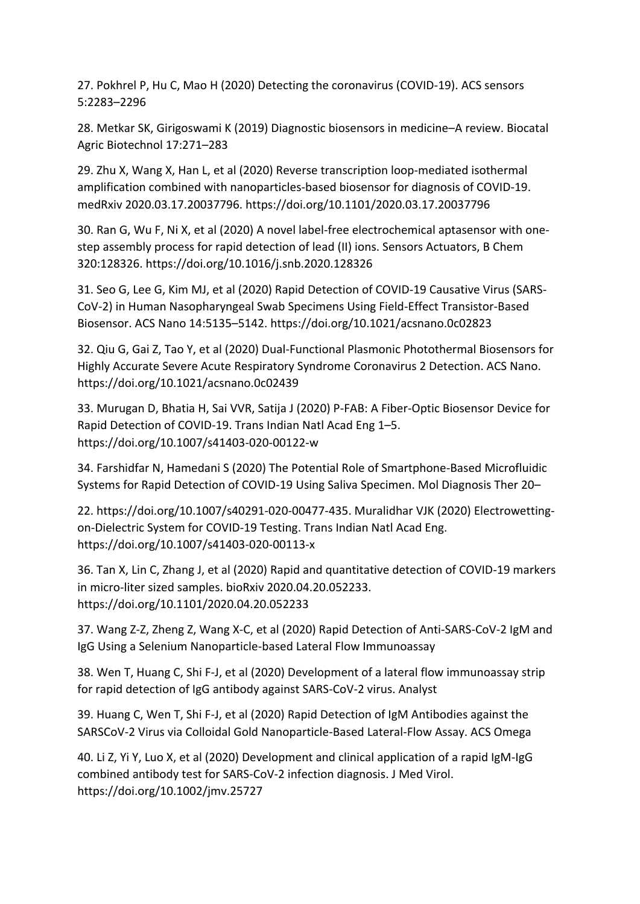27. Pokhrel P, Hu C, Mao H (2020) Detecting the coronavirus (COVID-19). ACS sensors 5:2283–2296

28. Metkar SK, Girigoswami K (2019) Diagnostic biosensors in medicine–A review. Biocatal Agric Biotechnol 17:271–283

29. Zhu X, Wang X, Han L, et al (2020) Reverse transcription loop-mediated isothermal amplification combined with nanoparticles-based biosensor for diagnosis of COVID-19. medRxiv 2020.03.17.20037796. https://doi.org/10.1101/2020.03.17.20037796

30. Ran G, Wu F, Ni X, et al (2020) A novel label-free electrochemical aptasensor with onestep assembly process for rapid detection of lead (II) ions. Sensors Actuators, B Chem 320:128326. https://doi.org/10.1016/j.snb.2020.128326

31. Seo G, Lee G, Kim MJ, et al (2020) Rapid Detection of COVID-19 Causative Virus (SARS-CoV-2) in Human Nasopharyngeal Swab Specimens Using Field-Effect Transistor-Based Biosensor. ACS Nano 14:5135–5142. https://doi.org/10.1021/acsnano.0c02823

32. Qiu G, Gai Z, Tao Y, et al (2020) Dual-Functional Plasmonic Photothermal Biosensors for Highly Accurate Severe Acute Respiratory Syndrome Coronavirus 2 Detection. ACS Nano. https://doi.org/10.1021/acsnano.0c02439

33. Murugan D, Bhatia H, Sai VVR, Satija J (2020) P-FAB: A Fiber-Optic Biosensor Device for Rapid Detection of COVID-19. Trans Indian Natl Acad Eng 1–5. https://doi.org/10.1007/s41403-020-00122-w

34. Farshidfar N, Hamedani S (2020) The Potential Role of Smartphone-Based Microfluidic Systems for Rapid Detection of COVID-19 Using Saliva Specimen. Mol Diagnosis Ther 20–

22. https://doi.org/10.1007/s40291-020-00477-435. Muralidhar VJK (2020) Electrowettingon-Dielectric System for COVID-19 Testing. Trans Indian Natl Acad Eng. https://doi.org/10.1007/s41403-020-00113-x

36. Tan X, Lin C, Zhang J, et al (2020) Rapid and quantitative detection of COVID-19 markers in micro-liter sized samples. bioRxiv 2020.04.20.052233. https://doi.org/10.1101/2020.04.20.052233

37. Wang Z-Z, Zheng Z, Wang X-C, et al (2020) Rapid Detection of Anti-SARS-CoV-2 IgM and IgG Using a Selenium Nanoparticle-based Lateral Flow Immunoassay

38. Wen T, Huang C, Shi F-J, et al (2020) Development of a lateral flow immunoassay strip for rapid detection of IgG antibody against SARS-CoV-2 virus. Analyst

39. Huang C, Wen T, Shi F-J, et al (2020) Rapid Detection of IgM Antibodies against the SARSCoV-2 Virus via Colloidal Gold Nanoparticle-Based Lateral-Flow Assay. ACS Omega

40. Li Z, Yi Y, Luo X, et al (2020) Development and clinical application of a rapid IgM-IgG combined antibody test for SARS-CoV-2 infection diagnosis. J Med Virol. https://doi.org/10.1002/jmv.25727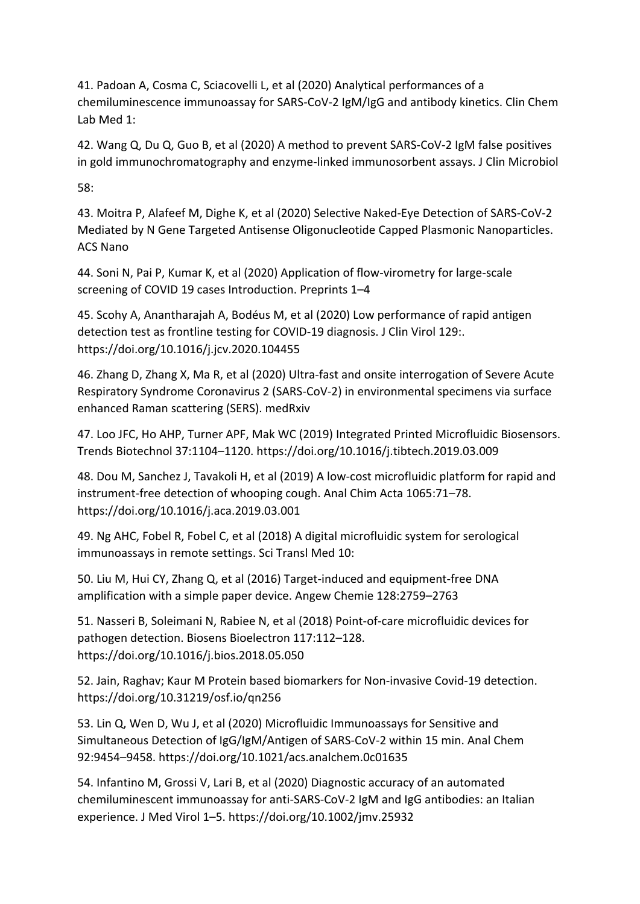41. Padoan A, Cosma C, Sciacovelli L, et al (2020) Analytical performances of a chemiluminescence immunoassay for SARS-CoV-2 IgM/IgG and antibody kinetics. Clin Chem Lab Med 1:

42. Wang Q, Du Q, Guo B, et al (2020) A method to prevent SARS-CoV-2 IgM false positives in gold immunochromatography and enzyme-linked immunosorbent assays. J Clin Microbiol

58:

43. Moitra P, Alafeef M, Dighe K, et al (2020) Selective Naked-Eye Detection of SARS-CoV-2 Mediated by N Gene Targeted Antisense Oligonucleotide Capped Plasmonic Nanoparticles. ACS Nano

44. Soni N, Pai P, Kumar K, et al (2020) Application of flow-virometry for large-scale screening of COVID 19 cases Introduction. Preprints 1–4

45. Scohy A, Anantharajah A, Bodéus M, et al (2020) Low performance of rapid antigen detection test as frontline testing for COVID-19 diagnosis. J Clin Virol 129:. https://doi.org/10.1016/j.jcv.2020.104455

46. Zhang D, Zhang X, Ma R, et al (2020) Ultra-fast and onsite interrogation of Severe Acute Respiratory Syndrome Coronavirus 2 (SARS-CoV-2) in environmental specimens via surface enhanced Raman scattering (SERS). medRxiv

47. Loo JFC, Ho AHP, Turner APF, Mak WC (2019) Integrated Printed Microfluidic Biosensors. Trends Biotechnol 37:1104–1120. https://doi.org/10.1016/j.tibtech.2019.03.009

48. Dou M, Sanchez J, Tavakoli H, et al (2019) A low-cost microfluidic platform for rapid and instrument-free detection of whooping cough. Anal Chim Acta 1065:71–78. https://doi.org/10.1016/j.aca.2019.03.001

49. Ng AHC, Fobel R, Fobel C, et al (2018) A digital microfluidic system for serological immunoassays in remote settings. Sci Transl Med 10:

50. Liu M, Hui CY, Zhang Q, et al (2016) Target‐induced and equipment‐free DNA amplification with a simple paper device. Angew Chemie 128:2759–2763

51. Nasseri B, Soleimani N, Rabiee N, et al (2018) Point-of-care microfluidic devices for pathogen detection. Biosens Bioelectron 117:112–128. https://doi.org/10.1016/j.bios.2018.05.050

52. Jain, Raghav; Kaur M Protein based biomarkers for Non-invasive Covid-19 detection. https://doi.org/10.31219/osf.io/qn256

53. Lin Q, Wen D, Wu J, et al (2020) Microfluidic Immunoassays for Sensitive and Simultaneous Detection of IgG/IgM/Antigen of SARS-CoV-2 within 15 min. Anal Chem 92:9454–9458. https://doi.org/10.1021/acs.analchem.0c01635

54. Infantino M, Grossi V, Lari B, et al (2020) Diagnostic accuracy of an automated chemiluminescent immunoassay for anti-SARS-CoV-2 IgM and IgG antibodies: an Italian experience. J Med Virol 1–5. https://doi.org/10.1002/jmv.25932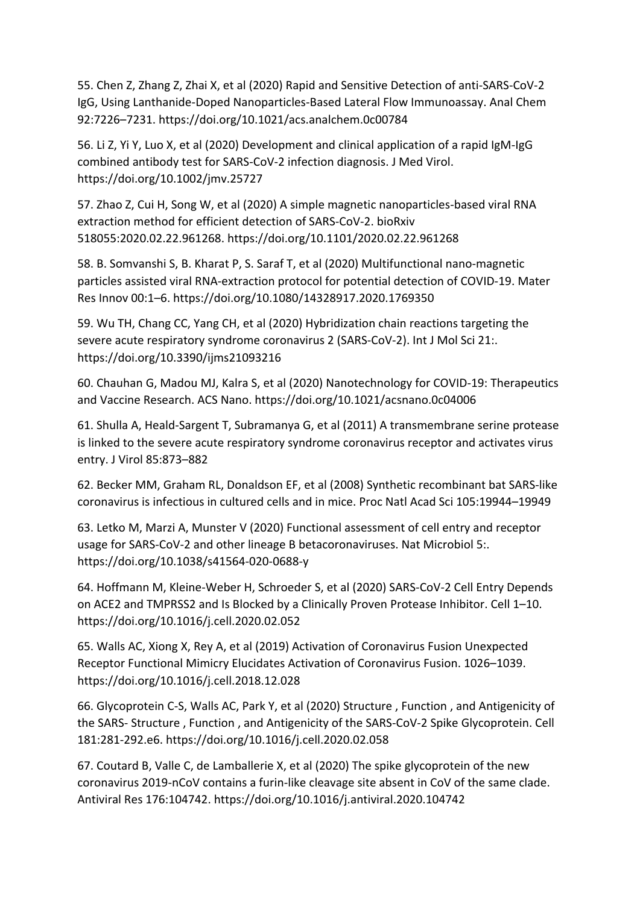55. Chen Z, Zhang Z, Zhai X, et al (2020) Rapid and Sensitive Detection of anti-SARS-CoV-2 IgG, Using Lanthanide-Doped Nanoparticles-Based Lateral Flow Immunoassay. Anal Chem 92:7226–7231. https://doi.org/10.1021/acs.analchem.0c00784

56. Li Z, Yi Y, Luo X, et al (2020) Development and clinical application of a rapid IgM-IgG combined antibody test for SARS-CoV-2 infection diagnosis. J Med Virol. https://doi.org/10.1002/jmv.25727

57. Zhao Z, Cui H, Song W, et al (2020) A simple magnetic nanoparticles-based viral RNA extraction method for efficient detection of SARS-CoV-2. bioRxiv 518055:2020.02.22.961268. https://doi.org/10.1101/2020.02.22.961268

58. B. Somvanshi S, B. Kharat P, S. Saraf T, et al (2020) Multifunctional nano-magnetic particles assisted viral RNA-extraction protocol for potential detection of COVID-19. Mater Res Innov 00:1–6. https://doi.org/10.1080/14328917.2020.1769350

59. Wu TH, Chang CC, Yang CH, et al (2020) Hybridization chain reactions targeting the severe acute respiratory syndrome coronavirus 2 (SARS-CoV-2). Int J Mol Sci 21:. https://doi.org/10.3390/ijms21093216

60. Chauhan G, Madou MJ, Kalra S, et al (2020) Nanotechnology for COVID-19: Therapeutics and Vaccine Research. ACS Nano. https://doi.org/10.1021/acsnano.0c04006

61. Shulla A, Heald-Sargent T, Subramanya G, et al (2011) A transmembrane serine protease is linked to the severe acute respiratory syndrome coronavirus receptor and activates virus entry. J Virol 85:873–882

62. Becker MM, Graham RL, Donaldson EF, et al (2008) Synthetic recombinant bat SARS-like coronavirus is infectious in cultured cells and in mice. Proc Natl Acad Sci 105:19944–19949

63. Letko M, Marzi A, Munster V (2020) Functional assessment of cell entry and receptor usage for SARS-CoV-2 and other lineage B betacoronaviruses. Nat Microbiol 5:. https://doi.org/10.1038/s41564-020-0688-y

64. Hoffmann M, Kleine-Weber H, Schroeder S, et al (2020) SARS-CoV-2 Cell Entry Depends on ACE2 and TMPRSS2 and Is Blocked by a Clinically Proven Protease Inhibitor. Cell 1–10. https://doi.org/10.1016/j.cell.2020.02.052

65. Walls AC, Xiong X, Rey A, et al (2019) Activation of Coronavirus Fusion Unexpected Receptor Functional Mimicry Elucidates Activation of Coronavirus Fusion. 1026–1039. https://doi.org/10.1016/j.cell.2018.12.028

66. Glycoprotein C-S, Walls AC, Park Y, et al (2020) Structure , Function , and Antigenicity of the SARS- Structure , Function , and Antigenicity of the SARS-CoV-2 Spike Glycoprotein. Cell 181:281-292.e6. https://doi.org/10.1016/j.cell.2020.02.058

67. Coutard B, Valle C, de Lamballerie X, et al (2020) The spike glycoprotein of the new coronavirus 2019-nCoV contains a furin-like cleavage site absent in CoV of the same clade. Antiviral Res 176:104742. https://doi.org/10.1016/j.antiviral.2020.104742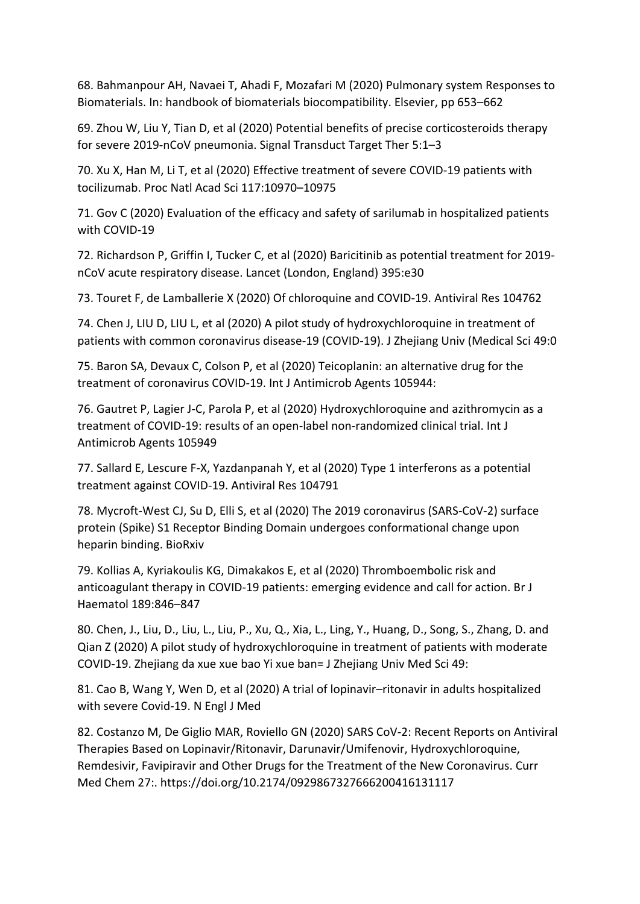68. Bahmanpour AH, Navaei T, Ahadi F, Mozafari M (2020) Pulmonary system Responses to Biomaterials. In: handbook of biomaterials biocompatibility. Elsevier, pp 653–662

69. Zhou W, Liu Y, Tian D, et al (2020) Potential benefits of precise corticosteroids therapy for severe 2019-nCoV pneumonia. Signal Transduct Target Ther 5:1–3

70. Xu X, Han M, Li T, et al (2020) Effective treatment of severe COVID-19 patients with tocilizumab. Proc Natl Acad Sci 117:10970–10975

71. Gov C (2020) Evaluation of the efficacy and safety of sarilumab in hospitalized patients with COVID-19

72. Richardson P, Griffin I, Tucker C, et al (2020) Baricitinib as potential treatment for 2019 nCoV acute respiratory disease. Lancet (London, England) 395:e30

73. Touret F, de Lamballerie X (2020) Of chloroquine and COVID-19. Antiviral Res 104762

74. Chen J, LIU D, LIU L, et al (2020) A pilot study of hydroxychloroquine in treatment of patients with common coronavirus disease-19 (COVID-19). J Zhejiang Univ (Medical Sci 49:0

75. Baron SA, Devaux C, Colson P, et al (2020) Teicoplanin: an alternative drug for the treatment of coronavirus COVID-19. Int J Antimicrob Agents 105944:

76. Gautret P, Lagier J-C, Parola P, et al (2020) Hydroxychloroquine and azithromycin as a treatment of COVID-19: results of an open-label non-randomized clinical trial. Int J Antimicrob Agents 105949

77. Sallard E, Lescure F-X, Yazdanpanah Y, et al (2020) Type 1 interferons as a potential treatment against COVID-19. Antiviral Res 104791

78. Mycroft-West CJ, Su D, Elli S, et al (2020) The 2019 coronavirus (SARS-CoV-2) surface protein (Spike) S1 Receptor Binding Domain undergoes conformational change upon heparin binding. BioRxiv

79. Kollias A, Kyriakoulis KG, Dimakakos E, et al (2020) Thromboembolic risk and anticoagulant therapy in COVID‐19 patients: emerging evidence and call for action. Br J Haematol 189:846–847

80. Chen, J., Liu, D., Liu, L., Liu, P., Xu, Q., Xia, L., Ling, Y., Huang, D., Song, S., Zhang, D. and Qian Z (2020) A pilot study of hydroxychloroquine in treatment of patients with moderate COVID-19. Zhejiang da xue xue bao Yi xue ban= J Zhejiang Univ Med Sci 49:

81. Cao B, Wang Y, Wen D, et al (2020) A trial of lopinavir–ritonavir in adults hospitalized with severe Covid-19. N Engl J Med

82. Costanzo M, De Giglio MAR, Roviello GN (2020) SARS CoV-2: Recent Reports on Antiviral Therapies Based on Lopinavir/Ritonavir, Darunavir/Umifenovir, Hydroxychloroquine, Remdesivir, Favipiravir and Other Drugs for the Treatment of the New Coronavirus. Curr Med Chem 27:. https://doi.org/10.2174/0929867327666200416131117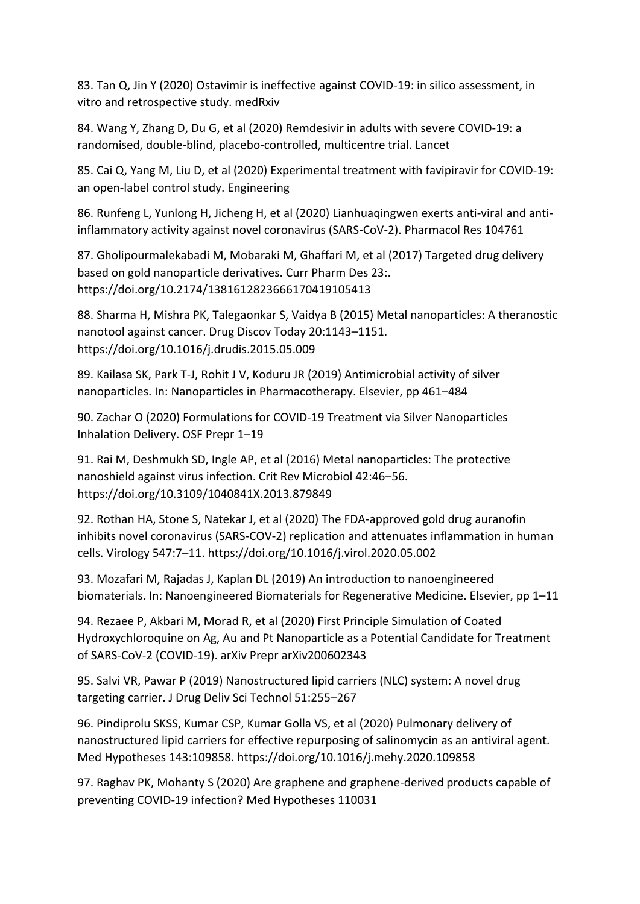83. Tan Q, Jin Y (2020) Ostavimir is ineffective against COVID-19: in silico assessment, in vitro and retrospective study. medRxiv

84. Wang Y, Zhang D, Du G, et al (2020) Remdesivir in adults with severe COVID-19: a randomised, double-blind, placebo-controlled, multicentre trial. Lancet

85. Cai Q, Yang M, Liu D, et al (2020) Experimental treatment with favipiravir for COVID-19: an open-label control study. Engineering

86. Runfeng L, Yunlong H, Jicheng H, et al (2020) Lianhuaqingwen exerts anti-viral and antiinflammatory activity against novel coronavirus (SARS-CoV-2). Pharmacol Res 104761

87. Gholipourmalekabadi M, Mobaraki M, Ghaffari M, et al (2017) Targeted drug delivery based on gold nanoparticle derivatives. Curr Pharm Des 23:. https://doi.org/10.2174/1381612823666170419105413

88. Sharma H, Mishra PK, Talegaonkar S, Vaidya B (2015) Metal nanoparticles: A theranostic nanotool against cancer. Drug Discov Today 20:1143–1151. https://doi.org/10.1016/j.drudis.2015.05.009

89. Kailasa SK, Park T-J, Rohit J V, Koduru JR (2019) Antimicrobial activity of silver nanoparticles. In: Nanoparticles in Pharmacotherapy. Elsevier, pp 461–484

90. Zachar O (2020) Formulations for COVID-19 Treatment via Silver Nanoparticles Inhalation Delivery. OSF Prepr 1–19

91. Rai M, Deshmukh SD, Ingle AP, et al (2016) Metal nanoparticles: The protective nanoshield against virus infection. Crit Rev Microbiol 42:46–56. https://doi.org/10.3109/1040841X.2013.879849

92. Rothan HA, Stone S, Natekar J, et al (2020) The FDA-approved gold drug auranofin inhibits novel coronavirus (SARS-COV-2) replication and attenuates inflammation in human cells. Virology 547:7–11. https://doi.org/10.1016/j.virol.2020.05.002

93. Mozafari M, Rajadas J, Kaplan DL (2019) An introduction to nanoengineered biomaterials. In: Nanoengineered Biomaterials for Regenerative Medicine. Elsevier, pp 1–11

94. Rezaee P, Akbari M, Morad R, et al (2020) First Principle Simulation of Coated Hydroxychloroquine on Ag, Au and Pt Nanoparticle as a Potential Candidate for Treatment of SARS-CoV-2 (COVID-19). arXiv Prepr arXiv200602343

95. Salvi VR, Pawar P (2019) Nanostructured lipid carriers (NLC) system: A novel drug targeting carrier. J Drug Deliv Sci Technol 51:255–267

96. Pindiprolu SKSS, Kumar CSP, Kumar Golla VS, et al (2020) Pulmonary delivery of nanostructured lipid carriers for effective repurposing of salinomycin as an antiviral agent. Med Hypotheses 143:109858. https://doi.org/10.1016/j.mehy.2020.109858

97. Raghav PK, Mohanty S (2020) Are graphene and graphene-derived products capable of preventing COVID-19 infection? Med Hypotheses 110031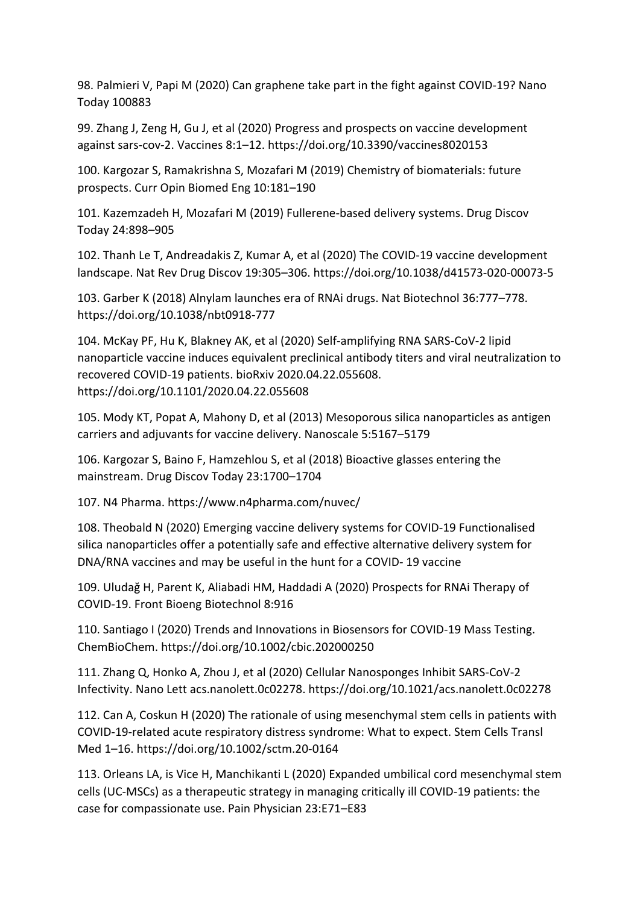98. Palmieri V, Papi M (2020) Can graphene take part in the fight against COVID-19? Nano Today 100883

99. Zhang J, Zeng H, Gu J, et al (2020) Progress and prospects on vaccine development against sars-cov-2. Vaccines 8:1–12. https://doi.org/10.3390/vaccines8020153

100. Kargozar S, Ramakrishna S, Mozafari M (2019) Chemistry of biomaterials: future prospects. Curr Opin Biomed Eng 10:181–190

101. Kazemzadeh H, Mozafari M (2019) Fullerene-based delivery systems. Drug Discov Today 24:898–905

102. Thanh Le T, Andreadakis Z, Kumar A, et al (2020) The COVID-19 vaccine development landscape. Nat Rev Drug Discov 19:305–306. https://doi.org/10.1038/d41573-020-00073-5

103. Garber K (2018) Alnylam launches era of RNAi drugs. Nat Biotechnol 36:777–778. https://doi.org/10.1038/nbt0918-777

104. McKay PF, Hu K, Blakney AK, et al (2020) Self-amplifying RNA SARS-CoV-2 lipid nanoparticle vaccine induces equivalent preclinical antibody titers and viral neutralization to recovered COVID-19 patients. bioRxiv 2020.04.22.055608. https://doi.org/10.1101/2020.04.22.055608

105. Mody KT, Popat A, Mahony D, et al (2013) Mesoporous silica nanoparticles as antigen carriers and adjuvants for vaccine delivery. Nanoscale 5:5167–5179

106. Kargozar S, Baino F, Hamzehlou S, et al (2018) Bioactive glasses entering the mainstream. Drug Discov Today 23:1700–1704

107. N4 Pharma. https://www.n4pharma.com/nuvec/

108. Theobald N (2020) Emerging vaccine delivery systems for COVID-19 Functionalised silica nanoparticles offer a potentially safe and effective alternative delivery system for DNA/RNA vaccines and may be useful in the hunt for a COVID- 19 vaccine

109. Uludağ H, Parent K, Aliabadi HM, Haddadi A (2020) Prospects for RNAi Therapy of COVID-19. Front Bioeng Biotechnol 8:916

110. Santiago I (2020) Trends and Innovations in Biosensors for COVID-19 Mass Testing. ChemBioChem. https://doi.org/10.1002/cbic.202000250

111. Zhang Q, Honko A, Zhou J, et al (2020) Cellular Nanosponges Inhibit SARS-CoV-2 Infectivity. Nano Lett acs.nanolett.0c02278. https://doi.org/10.1021/acs.nanolett.0c02278

112. Can A, Coskun H (2020) The rationale of using mesenchymal stem cells in patients with COVID-19-related acute respiratory distress syndrome: What to expect. Stem Cells Transl Med 1–16. https://doi.org/10.1002/sctm.20-0164

113. Orleans LA, is Vice H, Manchikanti L (2020) Expanded umbilical cord mesenchymal stem cells (UC-MSCs) as a therapeutic strategy in managing critically ill COVID-19 patients: the case for compassionate use. Pain Physician 23:E71–E83